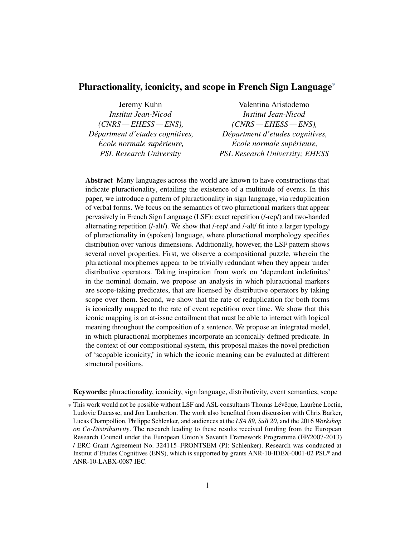Jeremy Kuhn *Institut Jean-Nicod (CNRS — EHESS — ENS), Départment d'etudes cognitives, École normale supérieure, PSL Research University*

Valentina Aristodemo *Institut Jean-Nicod (CNRS — EHESS — ENS), Départment d'etudes cognitives, École normale supérieure, PSL Research University; EHESS*

Abstract Many languages across the world are known to have constructions that indicate pluractionality, entailing the existence of a multitude of events. In this paper, we introduce a pattern of pluractionality in sign language, via reduplication of verbal forms. We focus on the semantics of two pluractional markers that appear pervasively in French Sign Language (LSF): exact repetition (/-rep/) and two-handed alternating repetition (/-alt/). We show that /-rep/ and /-alt/ fit into a larger typology of pluractionality in (spoken) language, where pluractional morphology specifies distribution over various dimensions. Additionally, however, the LSF pattern shows several novel properties. First, we observe a compositional puzzle, wherein the pluractional morphemes appear to be trivially redundant when they appear under distributive operators. Taking inspiration from work on 'dependent indefinites' in the nominal domain, we propose an analysis in which pluractional markers are scope-taking predicates, that are licensed by distributive operators by taking scope over them. Second, we show that the rate of reduplication for both forms is iconically mapped to the rate of event repetition over time. We show that this iconic mapping is an at-issue entailment that must be able to interact with logical meaning throughout the composition of a sentence. We propose an integrated model, in which pluractional morphemes incorporate an iconically defined predicate. In the context of our compositional system, this proposal makes the novel prediction of 'scopable iconicity,' in which the iconic meaning can be evaluated at different structural positions.

Keywords: pluractionality, iconicity, sign language, distributivity, event semantics, scope

<sup>\*</sup> This work would not be possible without LSF and ASL consultants Thomas Lévêque, Laurène Loctin, Ludovic Ducasse, and Jon Lamberton. The work also benefited from discussion with Chris Barker, Lucas Champollion, Philippe Schlenker, and audiences at the *LSA 89*, *SuB 20*, and the 2016 *Workshop on Co-Distributivity*. The research leading to these results received funding from the European Research Council under the European Union's Seventh Framework Programme (FP/2007-2013) / ERC Grant Agreement No. 324115–FRONTSEM (PI: Schlenker). Research was conducted at Institut d'Etudes Cognitives (ENS), which is supported by grants ANR-10-IDEX-0001-02 PSL\* and ANR-10-LABX-0087 IEC.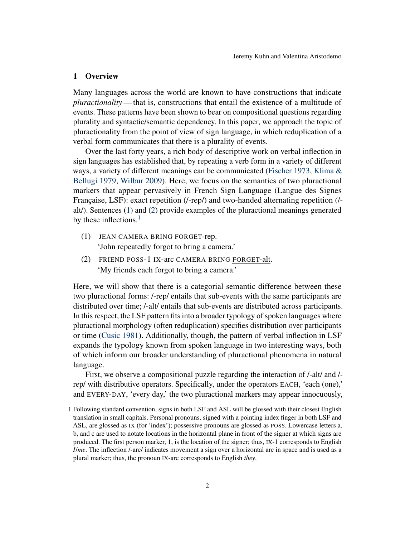### 1 Overview

Many languages across the world are known to have constructions that indicate *pluractionality*— that is, constructions that entail the existence of a multitude of events. These patterns have been shown to bear on compositional questions regarding plurality and syntactic/semantic dependency. In this paper, we approach the topic of pluractionality from the point of view of sign language, in which reduplication of a verbal form communicates that there is a plurality of events.

Over the last forty years, a rich body of descriptive work on verbal inflection in sign languages has established that, by repeating a verb form in a variety of different ways, a variety of different meanings can be communicated [\(Fischer](#page-41-0) [1973,](#page-41-0) [Klima &](#page-41-1) [Bellugi](#page-41-1) [1979,](#page-41-1) [Wilbur](#page-42-0) [2009\)](#page-42-0). Here, we focus on the semantics of two pluractional markers that appear pervasively in French Sign Language (Langue des Signes Française, LSF): exact repetition (/-rep/) and two-handed alternating repetition (/ alt/). Sentences [\(1\)](#page-1-0) and [\(2\)](#page-1-1) provide examples of the pluractional meanings generated by these inflections. $<sup>1</sup>$  $<sup>1</sup>$  $<sup>1</sup>$ </sup>

- <span id="page-1-0"></span>(1) JEAN CAMERA BRING FORGET-rep. 'John repeatedly forgot to bring a camera.'
- <span id="page-1-1"></span>(2) FRIEND POSS-1 IX-arc CAMERA BRING FORGET-alt. 'My friends each forgot to bring a camera.'

Here, we will show that there is a categorial semantic difference between these two pluractional forms: /-rep/ entails that sub-events with the same participants are distributed over time; /-alt/ entails that sub-events are distributed across participants. In this respect, the LSF pattern fits into a broader typology of spoken languages where pluractional morphology (often reduplication) specifies distribution over participants or time [\(Cusic](#page-40-0) [1981\)](#page-40-0). Additionally, though, the pattern of verbal inflection in LSF expands the typology known from spoken language in two interesting ways, both of which inform our broader understanding of pluractional phenomena in natural language.

First, we observe a compositional puzzle regarding the interaction of /-alt/ and / rep/ with distributive operators. Specifically, under the operators EACH, 'each (one),' and EVERY-DAY, 'every day,' the two pluractional markers may appear innocuously,

<span id="page-1-2"></span><sup>1</sup> Following standard convention, signs in both LSF and ASL will be glossed with their closest English translation in small capitals. Personal pronouns, signed with a pointing index finger in both LSF and ASL, are glossed as IX (for 'index'); possessive pronouns are glossed as POSS. Lowercase letters a, b, and c are used to notate locations in the horizontal plane in front of the signer at which signs are produced. The first person marker, 1, is the location of the signer; thus, IX-1 corresponds to English *I*/*me*. The inflection /-arc/ indicates movement a sign over a horizontal arc in space and is used as a plural marker; thus, the pronoun IX-arc corresponds to English *they*.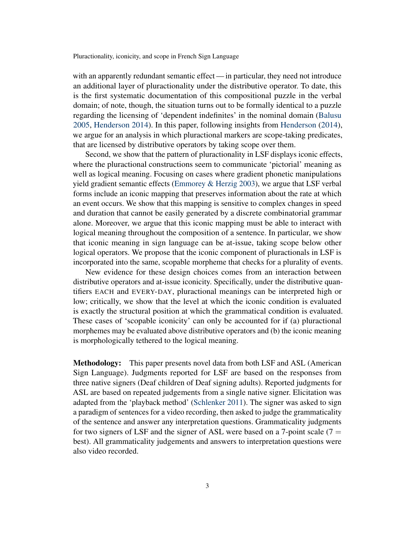with an apparently redundant semantic effect — in particular, they need not introduce an additional layer of pluractionality under the distributive operator. To date, this is the first systematic documentation of this compositional puzzle in the verbal domain; of note, though, the situation turns out to be formally identical to a puzzle regarding the licensing of 'dependent indefinites' in the nominal domain [\(Balusu](#page-39-0) [2005,](#page-39-0) [Henderson](#page-41-2) [2014\)](#page-41-2). In this paper, following insights from [Henderson](#page-41-2) [\(2014\)](#page-41-2), we argue for an analysis in which pluractional markers are scope-taking predicates, that are licensed by distributive operators by taking scope over them.

Second, we show that the pattern of pluractionality in LSF displays iconic effects, where the pluractional constructions seem to communicate 'pictorial' meaning as well as logical meaning. Focusing on cases where gradient phonetic manipulations yield gradient semantic effects [\(Emmorey & Herzig](#page-40-1) [2003\)](#page-40-1), we argue that LSF verbal forms include an iconic mapping that preserves information about the rate at which an event occurs. We show that this mapping is sensitive to complex changes in speed and duration that cannot be easily generated by a discrete combinatorial grammar alone. Moreover, we argue that this iconic mapping must be able to interact with logical meaning throughout the composition of a sentence. In particular, we show that iconic meaning in sign language can be at-issue, taking scope below other logical operators. We propose that the iconic component of pluractionals in LSF is incorporated into the same, scopable morpheme that checks for a plurality of events.

New evidence for these design choices comes from an interaction between distributive operators and at-issue iconicity. Specifically, under the distributive quantifiers EACH and EVERY-DAY, pluractional meanings can be interpreted high or low; critically, we show that the level at which the iconic condition is evaluated is exactly the structural position at which the grammatical condition is evaluated. These cases of 'scopable iconicity' can only be accounted for if (a) pluractional morphemes may be evaluated above distributive operators and (b) the iconic meaning is morphologically tethered to the logical meaning.

Methodology: This paper presents novel data from both LSF and ASL (American Sign Language). Judgments reported for LSF are based on the responses from three native signers (Deaf children of Deaf signing adults). Reported judgments for ASL are based on repeated judgements from a single native signer. Elicitation was adapted from the 'playback method' [\(Schlenker](#page-42-1) [2011\)](#page-42-1). The signer was asked to sign a paradigm of sentences for a video recording, then asked to judge the grammaticality of the sentence and answer any interpretation questions. Grammaticality judgments for two signers of LSF and the signer of ASL were based on a 7-point scale  $(7 =$ best). All grammaticality judgements and answers to interpretation questions were also video recorded.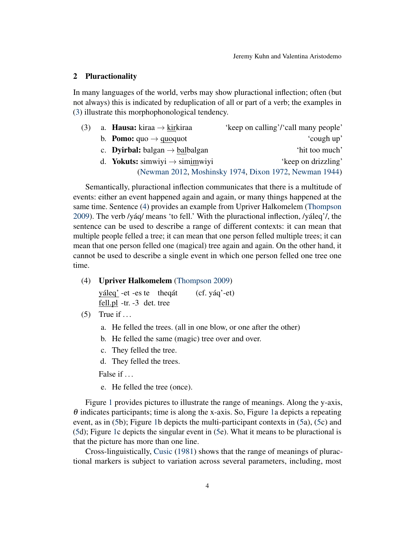# 2 Pluractionality

In many languages of the world, verbs may show pluractional inflection; often (but not always) this is indicated by reduplication of all or part of a verb; the examples in [\(3\)](#page-3-0) illustrate this morphophonological tendency.

<span id="page-3-0"></span>

| (3) | a. <b>Hausa:</b> kiraa $\rightarrow$ kirkiraa           | 'keep on calling'/'call many people'                   |
|-----|---------------------------------------------------------|--------------------------------------------------------|
|     | b. <b>Pomo:</b> $\text{quo} \rightarrow \text{quoguot}$ | 'cough up'                                             |
|     | c. <b>Dyirbal:</b> balgan $\rightarrow$ balbalgan       | 'hit too much'                                         |
|     | d. <b>Yokuts:</b> simwiyi $\rightarrow$ simimwiyi       | 'keep on drizzling'                                    |
|     |                                                         | (Newman 2012, Moshinsky 1974, Dixon 1972, Newman 1944) |

Semantically, pluractional inflection communicates that there is a multitude of events: either an event happened again and again, or many things happened at the same time. Sentence [\(4\)](#page-3-1) provides an example from Upriver Halkomelem [\(Thompson](#page-42-5) [2009\)](#page-42-5). The verb /yáq/ means 'to fell.' With the pluractional inflection, /yáleq'/, the sentence can be used to describe a range of different contexts: it can mean that multiple people felled a tree; it can mean that one person felled multiple trees; it can mean that one person felled one (magical) tree again and again. On the other hand, it cannot be used to describe a single event in which one person felled one tree one time.

<span id="page-3-1"></span>(4) Upriver Halkomelem [\(Thompson](#page-42-5) [2009\)](#page-42-5)

yáleg' - et - es te theqát fell.pl -tr. -3 det. tree (cf. yáq'-et)

<span id="page-3-2"></span>(5) True if  $\dots$ 

- a. He felled the trees. (all in one blow, or one after the other)
- b. He felled the same (magic) tree over and over.
- c. They felled the tree.
- d. They felled the trees.

False if  $\ldots$ 

e. He felled the tree (once).

Figure [1](#page-4-0) provides pictures to illustrate the range of meanings. Along the y-axis,  $\theta$  indicates participants; time is along the x-axis. So, Figure [1a](#page-4-0) depicts a repeating event, as in [\(5b](#page-3-2)); Figure [1b](#page-4-0) depicts the multi-participant contexts in [\(5a](#page-3-2)), [\(5c](#page-3-2)) and [\(5d](#page-3-2)); Figure [1c](#page-4-0) depicts the singular event in [\(5e](#page-3-2)). What it means to be pluractional is that the picture has more than one line.

Cross-linguistically, [Cusic](#page-40-0) [\(1981\)](#page-40-0) shows that the range of meanings of pluractional markers is subject to variation across several parameters, including, most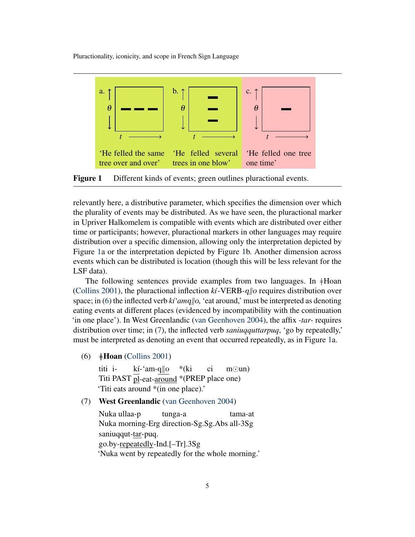<span id="page-4-0"></span>

Figure 1 Different kinds of events; green outlines pluractional events.

relevantly here, a distributive parameter, which specifies the dimension over which the plurality of events may be distributed. As we have seen, the pluractional marker in Upriver Halkomelem is compatible with events which are distributed over either time or participants; however, pluractional markers in other languages may require distribution over a specific dimension, allowing only the interpretation depicted by Figure [1a](#page-4-0) or the interpretation depicted by Figure [1b](#page-4-0). Another dimension across events which can be distributed is location (though this will be less relevant for the LSF data).

The following sentences provide examples from two languages. In  $#$ Hoan [\(Collins](#page-40-3) [2001\)](#page-40-3), the pluractional inflection  $k\tilde{\imath}$ -VERB-q||o requires distribution over space; in [\(6\)](#page-4-1) the inflected verb  $k_i$ <sup>'</sup> amg<sub>l</sub>| $\alpha$ , 'eat around,' must be interpreted as denoting eating events at different places (evidenced by incompatibility with the continuation 'in one place'). In West Greenlandic [\(van Geenhoven](#page-41-3) [2004\)](#page-41-3), the affix *-tar-* requires distribution over time; in [\(7\)](#page-4-2), the inflected verb *saniuqquttarpuq*, 'go by repeatedly,' must be interpreted as denoting an event that occurred repeatedly, as in Figure [1a](#page-4-0).

<span id="page-4-1"></span>(6)  $\pm$ **Hoan** [\(Collins](#page-40-3) [2001\)](#page-40-3)

titi i-Titi PAST pl-eat-around \*(PREP place one)  $k$ í-'am-q $\|o\|$ \*(ki ci  $m\odot$ un) 'Titi eats around \*(in one place).'

<span id="page-4-2"></span>(7) West Greenlandic [\(van Geenhoven](#page-41-3) [2004\)](#page-41-3)

Nuka ullaa-p Nuka morning-Erg direction-Sg.Sg.Abs all-3Sg tunga-a tama-at saniuqqut-tar-puq. go.by-repeatedly-Ind.[–Tr].3Sg 'Nuka went by repeatedly for the whole morning.'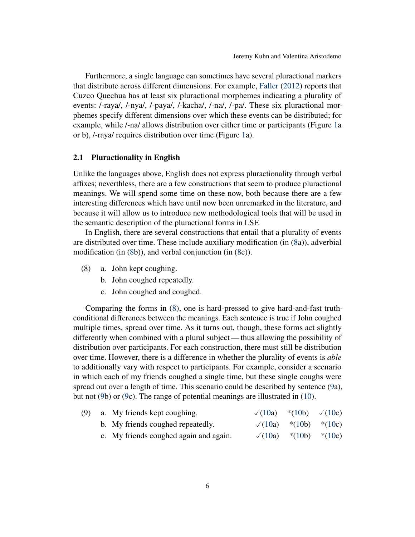Furthermore, a single language can sometimes have several pluractional markers that distribute across different dimensions. For example, [Faller](#page-41-4) [\(2012\)](#page-41-4) reports that Cuzco Quechua has at least six pluractional morphemes indicating a plurality of events: /-raya/, /-nya/, /-paya/, /-kacha/, /-na/, /-pa/. These six pluractional morphemes specify different dimensions over which these events can be distributed; for example, while /-na/ allows distribution over either time or participants (Figure [1a](#page-4-0) or b), /-raya/ requires distribution over time (Figure [1a](#page-4-0)).

#### <span id="page-5-3"></span>2.1 Pluractionality in English

Unlike the languages above, English does not express pluractionality through verbal affixes; neverthless, there are a few constructions that seem to produce pluractional meanings. We will spend some time on these now, both because there are a few interesting differences which have until now been unremarked in the literature, and because it will allow us to introduce new methodological tools that will be used in the semantic description of the pluractional forms in LSF.

In English, there are several constructions that entail that a plurality of events are distributed over time. These include auxiliary modification (in [\(8a](#page-5-0))), adverbial modification (in [\(8b](#page-5-0))), and verbal conjunction (in [\(8c](#page-5-0))).

- <span id="page-5-0"></span>(8) a. John kept coughing.
	- b. John coughed repeatedly.
	- c. John coughed and coughed.

Comparing the forms in [\(8\)](#page-5-0), one is hard-pressed to give hard-and-fast truthconditional differences between the meanings. Each sentence is true if John coughed multiple times, spread over time. As it turns out, though, these forms act slightly differently when combined with a plural subject— thus allowing the possibility of distribution over participants. For each construction, there must still be distribution over time. However, there is a difference in whether the plurality of events is *able* to additionally vary with respect to participants. For example, consider a scenario in which each of my friends coughed a single time, but these single coughs were spread out over a length of time. This scenario could be described by sentence [\(9a](#page-5-1)), but not [\(9b](#page-5-1)) or [\(9c](#page-5-1)). The range of potential meanings are illustrated in [\(10\)](#page-5-2).

<span id="page-5-2"></span><span id="page-5-1"></span>

| (9) | a. My friends kept coughing.           | $\sqrt{(10a)}$ *(10b) $\sqrt{(10c)}$ |                              |  |
|-----|----------------------------------------|--------------------------------------|------------------------------|--|
|     | b. My friends coughed repeatedly.      |                                      | $\sqrt{(10a)}$ *(10b) *(10c) |  |
|     | c. My friends coughed again and again. | $\sqrt{(10a)}$                       | *(10b) *(10c)                |  |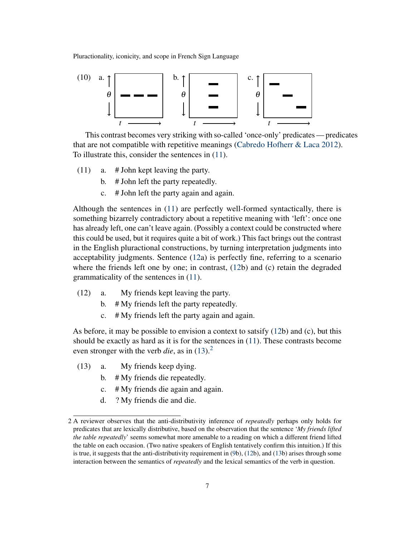

This contrast becomes very striking with so-called 'once-only' predicates — predicates that are not compatible with repetitive meanings [\(Cabredo Hofherr & Laca](#page-40-4) [2012\)](#page-40-4). To illustrate this, consider the sentences in [\(11\)](#page-6-0).

- (11) a. # John kept leaving the party.
	- b. # John left the party repeatedly.
	- c. # John left the party again and again.

<span id="page-6-0"></span>Although the sentences in [\(11\)](#page-6-0) are perfectly well-formed syntactically, there is something bizarrely contradictory about a repetitive meaning with 'left': once one has already left, one can't leave again. (Possibly a context could be constructed where this could be used, but it requires quite a bit of work.) This fact brings out the contrast in the English pluractional constructions, by turning interpretation judgments into acceptability judgments. Sentence [\(12a](#page-6-1)) is perfectly fine, referring to a scenario where the friends left one by one; in contrast, [\(12b](#page-6-1)) and (c) retain the degraded grammaticality of the sentences in [\(11\)](#page-6-0).

- <span id="page-6-1"></span>(12) a. My friends kept leaving the party.
	- b. # My friends left the party repeatedly.
	- c. # My friends left the party again and again.

As before, it may be possible to envision a context to satsify [\(12b](#page-6-1)) and (c), but this should be exactly as hard as it is for the sentences in [\(11\)](#page-6-0). These contrasts become even stronger with the verb *die*, as in  $(13)$ <sup>[2](#page-6-3)</sup>

- <span id="page-6-2"></span>(13) a. My friends keep dying.
	- b. # My friends die repeatedly.
	- c. # My friends die again and again.
	- d. ? My friends die and die.

<span id="page-6-3"></span><sup>2</sup> A reviewer observes that the anti-distributivity inference of *repeatedly* perhaps only holds for predicates that are lexically distributive, based on the observation that the sentence '*My friends lifted the table repeatedly*' seems somewhat more amenable to a reading on which a different friend lifted the table on each occasion. (Two native speakers of English tentatively confirm this intuition.) If this is true, it suggests that the anti-distributivity requirement in [\(9b](#page-5-1)), [\(12b](#page-6-1)), and [\(13b](#page-6-2)) arises through some interaction between the semantics of *repeatedly* and the lexical semantics of the verb in question.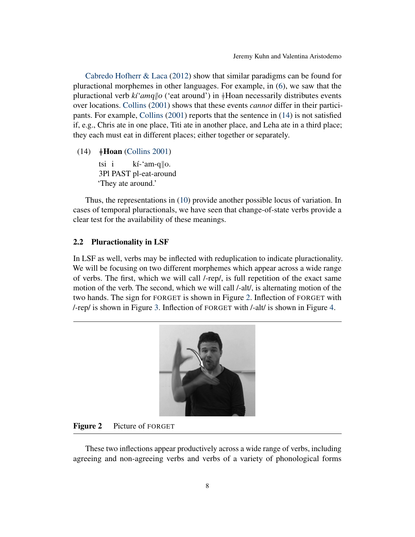[Cabredo Hofherr & Laca](#page-40-4) [\(2012\)](#page-40-4) show that similar paradigms can be found for pluractional morphemes in other languages. For example, in [\(6\)](#page-4-1), we saw that the pluractional verb  $k \hat{i}'$  *amq* ||  $o$  ('eat around') in  $\frac{1}{2}$ Hoan necessarily distributes events over locations. [Collins](#page-40-3) [\(2001\)](#page-40-3) shows that these events *cannot* differ in their participants. For example, [Collins](#page-40-3) [\(2001\)](#page-40-3) reports that the sentence in [\(14\)](#page-7-0) is not satisfied if, e.g., Chris ate in one place, Titi ate in another place, and Leha ate in a third place; they each must eat in different places; either together or separately.

<span id="page-7-0"></span> $(14)$   $\neq$ **Hoan** [\(Collins](#page-40-3) [2001\)](#page-40-3)

tsi i 3Pl PAST pl-eat-around kí-'am-q||o. 'They ate around.'

Thus, the representations in [\(10\)](#page-5-2) provide another possible locus of variation. In cases of temporal pluractionals, we have seen that change-of-state verbs provide a clear test for the availability of these meanings.

# 2.2 Pluractionality in LSF

In LSF as well, verbs may be inflected with reduplication to indicate pluractionality. We will be focusing on two different morphemes which appear across a wide range of verbs. The first, which we will call /-rep/, is full repetition of the exact same motion of the verb. The second, which we will call /-alt/, is alternating motion of the two hands. The sign for FORGET is shown in Figure [2.](#page-7-1) Inflection of FORGET with /-rep/ is shown in Figure [3.](#page-8-0) Inflection of FORGET with /-alt/ is shown in Figure [4.](#page-8-1)



# <span id="page-7-1"></span>Figure 2 Picture of FORGET

These two inflections appear productively across a wide range of verbs, including agreeing and non-agreeing verbs and verbs of a variety of phonological forms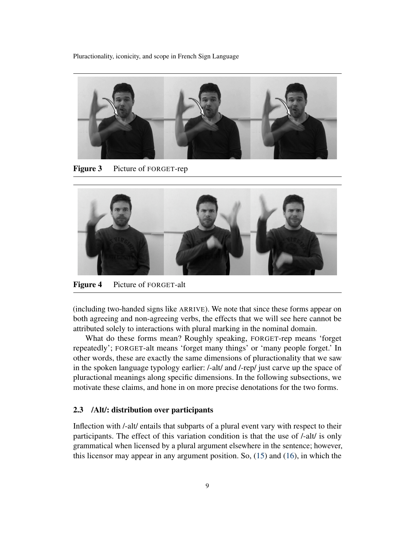

Figure 3 Picture of FORGET-rep

<span id="page-8-0"></span>

Figure 4 Picture of FORGET-alt

<span id="page-8-1"></span>(including two-handed signs like ARRIVE). We note that since these forms appear on both agreeing and non-agreeing verbs, the effects that we will see here cannot be attributed solely to interactions with plural marking in the nominal domain.

What do these forms mean? Roughly speaking, FORGET-rep means 'forget repeatedly'; FORGET-alt means 'forget many things' or 'many people forget.' In other words, these are exactly the same dimensions of pluractionality that we saw in the spoken language typology earlier: /-alt/ and /-rep/ just carve up the space of pluractional meanings along specific dimensions. In the following subsections, we motivate these claims, and hone in on more precise denotations for the two forms.

# 2.3 /Alt/: distribution over participants

Inflection with /-alt/ entails that subparts of a plural event vary with respect to their participants. The effect of this variation condition is that the use of /-alt/ is only grammatical when licensed by a plural argument elsewhere in the sentence; however, this licensor may appear in any argument position. So, [\(15\)](#page-9-0) and [\(16\)](#page-9-1), in which the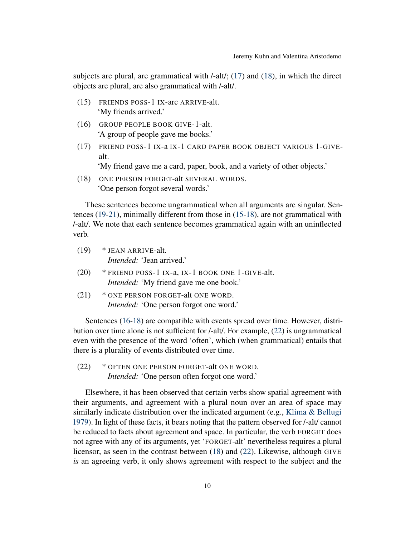subjects are plural, are grammatical with /-alt/; [\(17\)](#page-9-2) and [\(18\)](#page-9-3), in which the direct objects are plural, are also grammatical with /-alt/.

- <span id="page-9-0"></span>(15) FRIENDS POSS-1 IX-arc ARRIVE-alt. 'My friends arrived.'
- <span id="page-9-1"></span>(16) GROUP PEOPLE BOOK GIVE-1-alt. 'A group of people gave me books.'
- <span id="page-9-2"></span>(17) FRIEND POSS-1 IX-a IX-1 CARD PAPER BOOK OBJECT VARIOUS 1-GIVEalt.

'My friend gave me a card, paper, book, and a variety of other objects.'

<span id="page-9-3"></span>(18) ONE PERSON FORGET-alt SEVERAL WORDS. 'One person forgot several words.'

These sentences become ungrammatical when all arguments are singular. Sentences [\(19](#page-9-4)[-21\)](#page-9-5), minimally different from those in [\(15](#page-9-0)[-18\)](#page-9-3), are not grammatical with /-alt/. We note that each sentence becomes grammatical again with an uninflected verb.

- <span id="page-9-4"></span>(19) \* JEAN ARRIVE-alt. *Intended:* 'Jean arrived.'
- <span id="page-9-7"></span>(20) \* FRIEND POSS-1 IX-a, IX-1 BOOK ONE 1-GIVE-alt. *Intended:* 'My friend gave me one book.'
- <span id="page-9-5"></span>(21) \* ONE PERSON FORGET-alt ONE WORD. *Intended:* 'One person forgot one word.'

Sentences [\(16](#page-9-1)[-18\)](#page-9-3) are compatible with events spread over time. However, distribution over time alone is not sufficient for /-alt/. For example, [\(22\)](#page-9-6) is ungrammatical even with the presence of the word 'often', which (when grammatical) entails that there is a plurality of events distributed over time.

<span id="page-9-6"></span>(22) \* OFTEN ONE PERSON FORGET-alt ONE WORD. *Intended:* 'One person often forgot one word.'

Elsewhere, it has been observed that certain verbs show spatial agreement with their arguments, and agreement with a plural noun over an area of space may similarly indicate distribution over the indicated argument (e.g., Klima  $\&$  Bellugi [1979\)](#page-41-1). In light of these facts, it bears noting that the pattern observed for /-alt/ cannot be reduced to facts about agreement and space. In particular, the verb FORGET does not agree with any of its arguments, yet 'FORGET-alt' nevertheless requires a plural licensor, as seen in the contrast between [\(18\)](#page-9-3) and [\(22\)](#page-9-6). Likewise, although GIVE *is* an agreeing verb, it only shows agreement with respect to the subject and the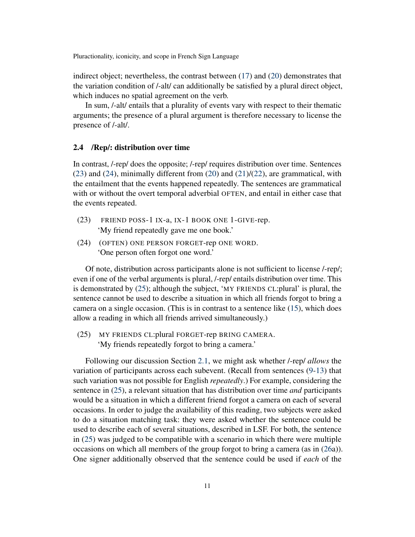indirect object; nevertheless, the contrast between [\(17\)](#page-9-2) and [\(20\)](#page-9-7) demonstrates that the variation condition of /-alt/ can additionally be satisfied by a plural direct object, which induces no spatial agreement on the verb.

In sum, /-alt/ entails that a plurality of events vary with respect to their thematic arguments; the presence of a plural argument is therefore necessary to license the presence of /-alt/.

# 2.4 /Rep/: distribution over time

In contrast, /-rep/ does the opposite; /-rep/ requires distribution over time. Sentences [\(23\)](#page-10-0) and [\(24\)](#page-10-1), minimally different from [\(20\)](#page-9-7) and [\(21\)](#page-9-5)/[\(22\)](#page-9-6), are grammatical, with the entailment that the events happened repeatedly. The sentences are grammatical with or without the overt temporal adverbial OFTEN, and entail in either case that the events repeated.

- <span id="page-10-0"></span>(23) FRIEND POSS-1 IX-a, IX-1 BOOK ONE 1-GIVE-rep. 'My friend repeatedly gave me one book.'
- <span id="page-10-1"></span>(24) (OFTEN) ONE PERSON FORGET-rep ONE WORD. 'One person often forgot one word.'

Of note, distribution across participants alone is not sufficient to license /-rep/; even if one of the verbal arguments is plural, /-rep/ entails distribution over time. This is demonstrated by [\(25\)](#page-10-2); although the subject, 'MY FRIENDS CL:plural' is plural, the sentence cannot be used to describe a situation in which all friends forgot to bring a camera on a single occasion. (This is in contrast to a sentence like [\(15\)](#page-9-0), which does allow a reading in which all friends arrived simultaneously.)

<span id="page-10-2"></span>(25) MY FRIENDS CL:plural FORGET-rep BRING CAMERA. 'My friends repeatedly forgot to bring a camera.'

Following our discussion Section [2.1,](#page-5-3) we might ask whether /-rep/ *allows* the variation of participants across each subevent. (Recall from sentences [\(9](#page-5-1)[-13\)](#page-6-2) that such variation was not possible for English *repeatedly*.) For example, considering the sentence in [\(25\)](#page-10-2), a relevant situation that has distribution over time *and* participants would be a situation in which a different friend forgot a camera on each of several occasions. In order to judge the availability of this reading, two subjects were asked to do a situation matching task: they were asked whether the sentence could be used to describe each of several situations, described in LSF. For both, the sentence in [\(25\)](#page-10-2) was judged to be compatible with a scenario in which there were multiple occasions on which all members of the group forgot to bring a camera (as in [\(26a](#page-11-0))). One signer additionally observed that the sentence could be used if *each* of the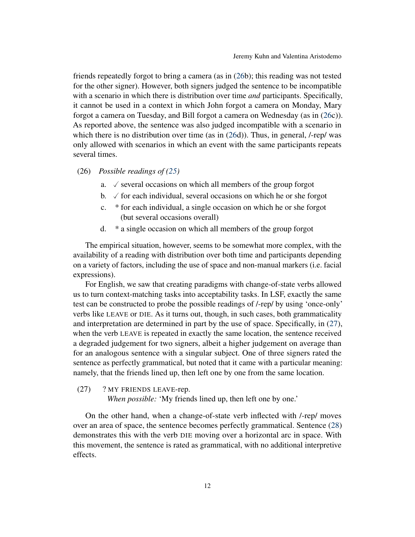friends repeatedly forgot to bring a camera (as in [\(26b](#page-11-0)); this reading was not tested for the other signer). However, both signers judged the sentence to be incompatible with a scenario in which there is distribution over time *and* participants. Specifically, it cannot be used in a context in which John forgot a camera on Monday, Mary forgot a camera on Tuesday, and Bill forgot a camera on Wednesday (as in [\(26c](#page-11-0))). As reported above, the sentence was also judged incompatible with a scenario in which there is no distribution over time (as in  $(26d)$  $(26d)$ ). Thus, in general, /-rep/ was only allowed with scenarios in which an event with the same participants repeats several times.

<span id="page-11-0"></span>(26) *Possible readings of [\(25\)](#page-10-2)*

- a.  $\checkmark$  several occasions on which all members of the group forgot
- b.  $\checkmark$  for each individual, several occasions on which he or she forgot
- c. \* for each individual, a single occasion on which he or she forgot (but several occasions overall)
- d. \* a single occasion on which all members of the group forgot

The empirical situation, however, seems to be somewhat more complex, with the availability of a reading with distribution over both time and participants depending on a variety of factors, including the use of space and non-manual markers (i.e. facial expressions).

For English, we saw that creating paradigms with change-of-state verbs allowed us to turn context-matching tasks into acceptability tasks. In LSF, exactly the same test can be constructed to probe the possible readings of /-rep/ by using 'once-only' verbs like LEAVE or DIE. As it turns out, though, in such cases, both grammaticality and interpretation are determined in part by the use of space. Specifically, in [\(27\)](#page-11-1), when the verb LEAVE is repeated in exactly the same location, the sentence received a degraded judgement for two signers, albeit a higher judgement on average than for an analogous sentence with a singular subject. One of three signers rated the sentence as perfectly grammatical, but noted that it came with a particular meaning: namely, that the friends lined up, then left one by one from the same location.

<span id="page-11-1"></span>(27) ? MY FRIENDS LEAVE-rep.

*When possible:* 'My friends lined up, then left one by one.'

On the other hand, when a change-of-state verb inflected with /-rep/ moves over an area of space, the sentence becomes perfectly grammatical. Sentence [\(28\)](#page-12-0) demonstrates this with the verb DIE moving over a horizontal arc in space. With this movement, the sentence is rated as grammatical, with no additional interpretive effects.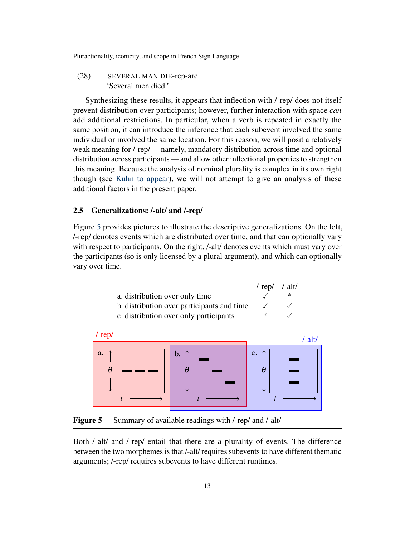<span id="page-12-0"></span>(28) SEVERAL MAN DIE-rep-arc. 'Several men died.'

Synthesizing these results, it appears that inflection with /-rep/ does not itself prevent distribution over participants; however, further interaction with space *can* add additional restrictions. In particular, when a verb is repeated in exactly the same position, it can introduce the inference that each subevent involved the same individual or involved the same location. For this reason, we will posit a relatively weak meaning for /-rep/ — namely, mandatory distribution across time and optional distribution across participants — and allow other inflectional properties to strengthen this meaning. Because the analysis of nominal plurality is complex in its own right though (see [Kuhn](#page-41-5) [to appear\)](#page-41-5), we will not attempt to give an analysis of these additional factors in the present paper.

# 2.5 Generalizations: /-alt/ and /-rep/

Figure [5](#page-12-1) provides pictures to illustrate the descriptive generalizations. On the left, /-rep/ denotes events which are distributed over time, and that can optionally vary with respect to participants. On the right, /-alt/ denotes events which must vary over the participants (so is only licensed by a plural argument), and which can optionally vary over time.



<span id="page-12-1"></span>Figure 5 Summary of available readings with /-rep/ and /-alt/

Both /-alt/ and /-rep/ entail that there are a plurality of events. The difference between the two morphemes is that /-alt/ requires subevents to have different thematic arguments; /-rep/ requires subevents to have different runtimes.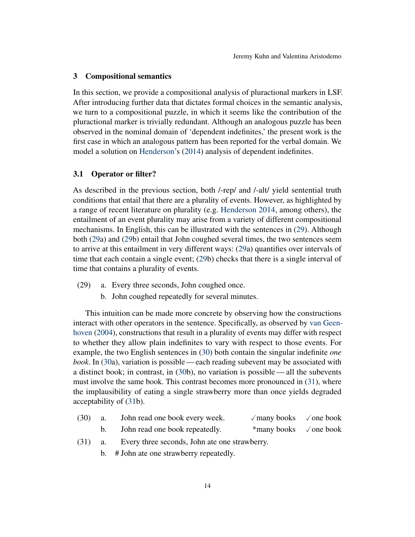#### 3 Compositional semantics

In this section, we provide a compositional analysis of pluractional markers in LSF. After introducing further data that dictates formal choices in the semantic analysis, we turn to a compositional puzzle, in which it seems like the contribution of the pluractional marker is trivially redundant. Although an analogous puzzle has been observed in the nominal domain of 'dependent indefinites,' the present work is the first case in which an analogous pattern has been reported for the verbal domain. We model a solution on [Henderson'](#page-41-2)s [\(2014\)](#page-41-2) analysis of dependent indefinites.

#### <span id="page-13-3"></span>3.1 Operator or filter?

As described in the previous section, both /-rep/ and /-alt/ yield sentential truth conditions that entail that there are a plurality of events. However, as highlighted by a range of recent literature on plurality (e.g. [Henderson](#page-41-2) [2014,](#page-41-2) among others), the entailment of an event plurality may arise from a variety of different compositional mechanisms. In English, this can be illustrated with the sentences in [\(29\)](#page-13-0). Although both [\(29a](#page-13-0)) and [\(29b](#page-13-0)) entail that John coughed several times, the two sentences seem to arrive at this entailment in very different ways: [\(29a](#page-13-0)) quantifies over intervals of time that each contain a single event; [\(29b](#page-13-0)) checks that there is a single interval of time that contains a plurality of events.

- <span id="page-13-0"></span>(29) a. Every three seconds, John coughed once.
	- b. John coughed repeatedly for several minutes.

This intuition can be made more concrete by observing how the constructions interact with other operators in the sentence. Specifically, as observed by [van Geen](#page-41-3)[hoven](#page-41-3) [\(2004\)](#page-41-3), constructions that result in a plurality of events may differ with respect to whether they allow plain indefinites to vary with respect to those events. For example, the two English sentences in [\(30\)](#page-13-1) both contain the singular indefinite *one book*. In [\(30a](#page-13-1)), variation is possible — each reading subevent may be associated with a distinct book; in contrast, in [\(30b](#page-13-1)), no variation is possible— all the subevents must involve the same book. This contrast becomes more pronounced in [\(31\)](#page-13-2), where the implausibility of eating a single strawberry more than once yields degraded acceptability of [\(31b](#page-13-2)).

- <span id="page-13-1"></span>(30) a. John read one book every week.  $\checkmark$  many books  $\checkmark$  one book<br>b. John read one book repeatedly. \* many books  $\checkmark$  one book John read one book repeatedly.  $*$ many books  $\checkmark$  one book
- <span id="page-13-2"></span>(31) a. Every three seconds, John ate one strawberry.
	- b. # John ate one strawberry repeatedly.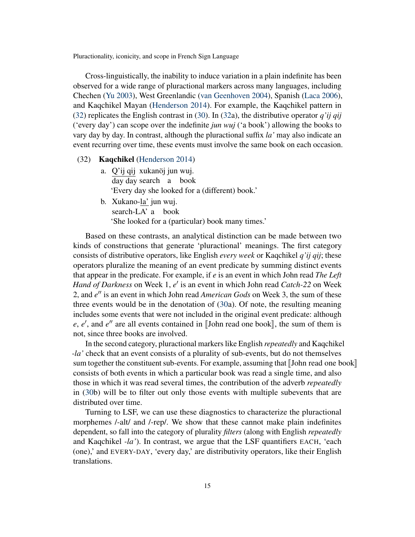Cross-linguistically, the inability to induce variation in a plain indefinite has been observed for a wide range of pluractional markers across many languages, including Chechen [\(Yu](#page-43-0) [2003\)](#page-43-0), West Greenlandic [\(van Geenhoven](#page-41-3) [2004\)](#page-41-3), Spanish [\(Laca](#page-42-6) [2006\)](#page-42-6), and Kaqchikel Mayan [\(Henderson](#page-41-2) [2014\)](#page-41-2). For example, the Kaqchikel pattern in [\(32\)](#page-14-0) replicates the English contrast in [\(30\)](#page-13-1). In [\(32a](#page-14-0)), the distributive operator *q'ij qij* ('every day') can scope over the indefinite *jun wuj* ('a book') allowing the books to vary day by day. In contrast, although the pluractional suffix *la'* may also indicate an event recurring over time, these events must involve the same book on each occasion.

- <span id="page-14-0"></span>(32) Kaqchikel [\(Henderson](#page-41-2) [2014\)](#page-41-2)
	- a. Q'ij qij xukanöj jun wuj. day day search a book 'Every day she looked for a (different) book.'
	- b. Xukano-<u>la'</u> jun wuj. search-LA' a book 'She looked for a (particular) book many times.'

Based on these contrasts, an analytical distinction can be made between two kinds of constructions that generate 'pluractional' meanings. The first category consists of distributive operators, like English *every week* or Kaqchikel *q'ij qij*; these operators pluralize the meaning of an event predicate by summing distinct events that appear in the predicate. For example, if *e* is an event in which John read *The Left* Hand of Darkness on Week 1, e' is an event in which John read *Catch-22* on Week 2, and e'' is an event in which John read *American Gods* on Week 3, the sum of these three events would be in the denotation of [\(30a](#page-13-1)). Of note, the resulting meaning includes some events that were not included in the original event predicate: although *e*, *e'*, and *e''* are all events contained in [John read one book], the sum of them is not since three books are involved not, since three books are involved.

In the second category, pluractional markers like English *repeatedly* and Kaqchikel *-la'* check that an event consists of a plurality of sub-events, but do not themselves sum together the constituent sub-events. For example, assuming that  $\llbracket$ John read one book $\llbracket$ consists of both events in which a particular book was read a single time, and also those in which it was read several times, the contribution of the adverb *repeatedly* in [\(30b](#page-13-1)) will be to filter out only those events with multiple subevents that are distributed over time.

Turning to LSF, we can use these diagnostics to characterize the pluractional morphemes /-alt/ and /-rep/. We show that these cannot make plain indefinites dependent, so fall into the category of plurality *filters* (along with English *repeatedly* and Kaqchikel *-la'*). In contrast, we argue that the LSF quantifiers EACH, 'each (one),' and EVERY-DAY, 'every day,' are distributivity operators, like their English translations.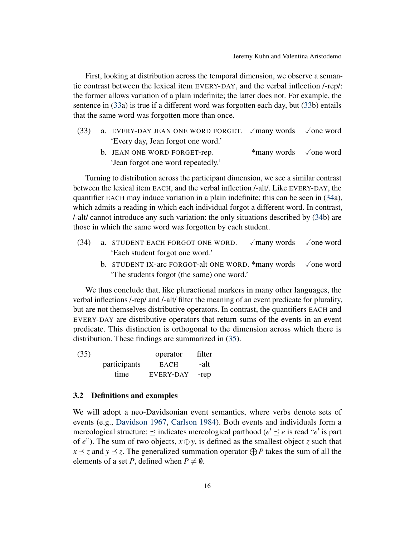First, looking at distribution across the temporal dimension, we observe a semantic contrast between the lexical item EVERY-DAY, and the verbal inflection /-rep/: the former allows variation of a plain indefinite; the latter does not. For example, the sentence in [\(33a](#page-15-0)) is true if a different word was forgotten each day, but [\(33b](#page-15-0)) entails that the same word was forgotten more than once.

- <span id="page-15-0"></span>(33) a. EVERY-DAY JEAN ONE WORD FORGET.  $\sqrt{$ many words  $\sqrt{}$  one word 'Every day, Jean forgot one word.'
	- b. JEAN ONE WORD FORGET-rep.  $*$  many words  $\checkmark$  one word 'Jean forgot one word repeatedly.'

Turning to distribution across the participant dimension, we see a similar contrast between the lexical item EACH, and the verbal inflection /-alt/. Like EVERY-DAY, the quantifier EACH may induce variation in a plain indefinite; this can be seen in [\(34a](#page-15-1)), which admits a reading in which each individual forgot a different word. In contrast, /-alt/ cannot introduce any such variation: the only situations described by [\(34b](#page-15-1)) are those in which the same word was forgotten by each student.

- <span id="page-15-1"></span>(34) a. STUDENT EACH FORGOT ONE WORD.  $\sqrt{m}$  many words  $\sqrt{m}$  one word 'Each student forgot one word.'
	- b. STUDENT IX-arc FORGOT-alt ONE WORD. \*many words  $\checkmark$  one word 'The students forgot (the same) one word.'

We thus conclude that, like pluractional markers in many other languages, the verbal inflections /-rep/ and /-alt/ filter the meaning of an event predicate for plurality, but are not themselves distributive operators. In contrast, the quantifiers EACH and EVERY-DAY are distributive operators that return sums of the events in an event predicate. This distinction is orthogonal to the dimension across which there is distribution. These findings are summarized in [\(35\)](#page-15-2).

<span id="page-15-2"></span>

| (35) |              | operator    | filter |
|------|--------------|-------------|--------|
|      | participants | <b>EACH</b> | -alt   |
|      | time         | EVERY-DAY   | -rep   |

# <span id="page-15-3"></span>3.2 Definitions and examples

We will adopt a neo-Davidsonian event semantics, where verbs denote sets of events (e.g., [Davidson](#page-40-5) [1967,](#page-40-5) [Carlson](#page-40-6) [1984\)](#page-40-6). Both events and individuals form a mereological structure;  $\leq$  indicates mereological parthood ( $e' \leq e$  is read "*e'* is part of *e*"). The sum of two objects,  $x \oplus y$ , is defined as the smallest object *z* such that  $x \prec z$  and  $y \prec z$ . The generalized summation operator  $\bigoplus P$  takes the sum of all the elements of a set *P*, defined when  $P \neq \emptyset$ .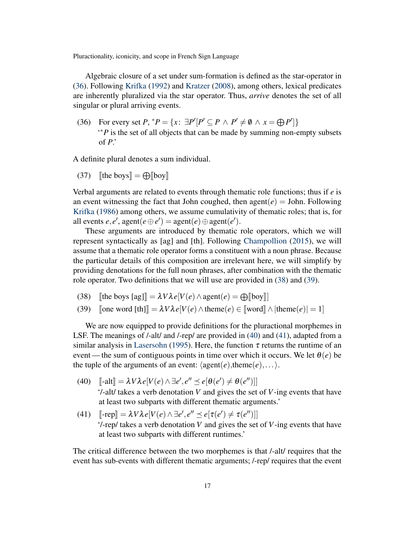Algebraic closure of a set under sum-formation is defined as the star-operator in [\(36\)](#page-16-0). Following [Krifka](#page-41-6) [\(1992\)](#page-41-6) and [Kratzer](#page-41-7) [\(2008\)](#page-41-7), among others, lexical predicates are inherently pluralized via the star operator. Thus, *arrive* denotes the set of all singular or plural arriving events.

<span id="page-16-0"></span>(36) For every set  $P, {}^*P = \{x: \exists P' [P' \subseteq P \land P' \neq \emptyset \land x = \bigoplus P']\}$ ' <sup>∗</sup>*P* is the set of all objects that can be made by summing non-empty subsets of *P*.'

A definite plural denotes a sum individual.

(37) [the boys]  $= \bigoplus$ [boy]

Verbal arguments are related to events through thematic role functions; thus if *e* is an event witnessing the fact that John coughed, then  $agent(e) = John$ . Following [Krifka](#page-41-8) [\(1986\)](#page-41-8) among others, we assume cumulativity of thematic roles; that is, for all events  $e, e',$  agent $(e \oplus e') =$  agent $(e) \oplus$  agent $(e')$ .

These arguments are introduced by thematic role operators, which we will represent syntactically as [ag] and [th]. Following [Champollion](#page-40-7) [\(2015\)](#page-40-7), we will assume that a thematic role operator forms a constituent with a noun phrase. Because the particular details of this composition are irrelevant here, we will simplify by providing denotations for the full noun phrases, after combination with the thematic role operator. Two definitions that we will use are provided in [\(38\)](#page-16-1) and [\(39\)](#page-16-2).

- <span id="page-16-1"></span>(38) [the boys  $[ag]$ ] =  $\lambda V \lambda e[V(e) \wedge agent(e) = \bigoplus [boy]]$ <br>(39) [one word  $[th]$ ] =  $\lambda V \lambda e[V(e) \wedge them(e) \in [word]]$
- <span id="page-16-2"></span> $[One word [th]] = \lambda V \lambda e[V(e) \wedge \text{theme}(e) \in [word] \wedge \text{theme}(e)] = 1]$

We are now equipped to provide definitions for the pluractional morphemes in LSF. The meanings of /-alt/ and /-rep/ are provided in [\(40\)](#page-16-3) and [\(41\)](#page-16-4), adapted from a similar analysis in [Lasersohn](#page-42-7) [\(1995\)](#page-42-7). Here, the function  $\tau$  returns the runtime of an event—the sum of contiguous points in time over which it occurs. We let  $\theta(e)$  be the tuple of the arguments of an event:  $\langle agent(e),then(e),... \rangle$ .

- <span id="page-16-3"></span>(40)  $[\![\text{-alt}]\!] = \lambda V \lambda e[V(e) \wedge \exists e', e'' \preceq e[\theta(e') \neq \theta(e'')]]$ <br>(*t*) although a verib denotation  $V$  and given the act '/-alt/ takes a verb denotation *V* and gives the set of *V*-ing events that have at least two subparts with different thematic arguments.'
- <span id="page-16-4"></span>(41)  $\left[ \text{-rep} \right] = \lambda V \lambda e[V(e) \wedge \exists e', e'' \leq e[\tau(e') \neq \tau(e'')]]$ <br>(*t* gan/takes a verb denotation *V* and gives the set '/-rep/ takes a verb denotation *V* and gives the set of *V*-ing events that have at least two subparts with different runtimes.'

The critical difference between the two morphemes is that /-alt/ requires that the event has sub-events with different thematic arguments; /-rep/ requires that the event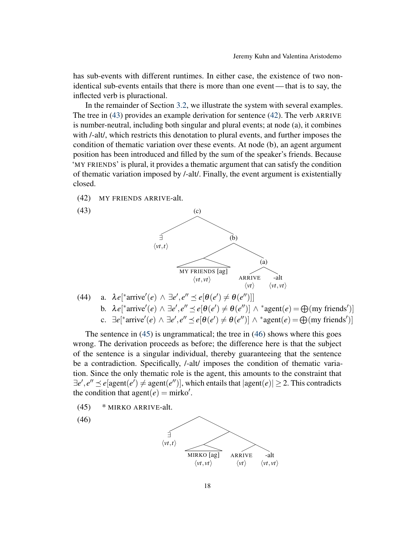has sub-events with different runtimes. In either case, the existence of two nonidentical sub-events entails that there is more than one event— that is to say, the inflected verb is pluractional.

In the remainder of Section [3.2,](#page-15-3) we illustrate the system with several examples. The tree in [\(43\)](#page-17-0) provides an example derivation for sentence [\(42\)](#page-17-1). The verb ARRIVE is number-neutral, including both singular and plural events; at node (a), it combines with /-alt/, which restricts this denotation to plural events, and further imposes the condition of thematic variation over these events. At node (b), an agent argument position has been introduced and filled by the sum of the speaker's friends. Because 'MY FRIENDS' is plural, it provides a thematic argument that can satisfy the condition of thematic variation imposed by /-alt/. Finally, the event argument is existentially closed.

<span id="page-17-1"></span><span id="page-17-0"></span>(42) MY FRIENDS ARRIVE-alt.



(44) a. 
$$
\lambda e[^{\ast}arrive'(e) \wedge \exists e', e'' \preceq e[\theta(e') \neq \theta(e'')]]
$$
  
b.  $\lambda e[^{\ast}arrive'(e) \wedge \exists e', e'' \preceq e[\theta(e') \neq \theta(e'')] \wedge {\ast} agent(e) = \bigoplus (my friends')]$   
c.  $\exists e[^{\ast}arrive'(e) \wedge \exists e', e'' \preceq e[\theta(e') \neq \theta(e'')] \wedge {\ast} agent(e) = \bigoplus (my friends')]$ 

The sentence in [\(45\)](#page-17-2) is ungrammatical; the tree in [\(46\)](#page-17-3) shows where this goes wrong. The derivation proceeds as before; the difference here is that the subject of the sentence is a singular individual, thereby guaranteeing that the sentence be a contradiction. Specifically, /-alt/ imposes the condition of thematic variation. Since the only thematic role is the agent, this amounts to the constraint that  $\exists e', e'' \leq e$ [agent $(e') \neq$  agent $(e'')$ ], which entails that  $|agent(e)| \geq 2$ . This contradicts the condition that agent $(e)$  = mirko'.

- <span id="page-17-2"></span>(45) \* MIRKO ARRIVE-alt.
- <span id="page-17-3"></span>(46)

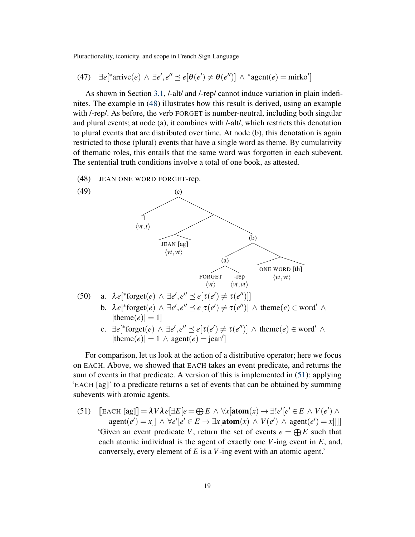$(47)$ <sup>\*</sup>arrive(*e*) ∧ ∃*e'*, *e''*  $\leq$  *e*[ $\theta$ (*e'*)  $\neq$   $\theta$ (*e''*)] ∧ \*agent(*e*) = mirko']

As shown in Section [3.1,](#page-13-3) /-alt/ and /-rep/ cannot induce variation in plain indefinites. The example in [\(48\)](#page-18-0) illustrates how this result is derived, using an example with /-rep/. As before, the verb FORGET is number-neutral, including both singular and plural events; at node (a), it combines with /-alt/, which restricts this denotation to plural events that are distributed over time. At node (b), this denotation is again restricted to those (plural) events that have a single word as theme. By cumulativity of thematic roles, this entails that the same word was forgotten in each subevent. The sentential truth conditions involve a total of one book, as attested.

<span id="page-18-0"></span>(48) JEAN ONE WORD FORGET-rep.



 $|\text{theme}(e)| = 1 \land \text{agent}(e) = \text{jean}'$ 

For comparison, let us look at the action of a distributive operator; here we focus on EACH. Above, we showed that EACH takes an event predicate, and returns the sum of events in that predicate. A version of this is implemented in [\(51\)](#page-18-1): applying 'EACH [ag]' to a predicate returns a set of events that can be obtained by summing subevents with atomic agents.

<span id="page-18-1"></span>(51)  $\left[\text{EACH [ag]}\right] = \lambda V \lambda e \left[\exists E \left[e = \bigoplus E \wedge \forall x [\text{atom}(x) \rightarrow \exists! e' \left[e' \in E \wedge V(e') \wedge \exists x \in \text{const}(e')\right]\right]\right]$  $\text{agent}(e') = x] \land \forall e' [e' \in E \rightarrow \exists x [\text{atom}(x) \land V(e') \land \text{agent}(e') = x]]]$ 'Given an event predicate *V*, return the set of events  $e = \bigoplus E$  such that each atomic individual is the agent of exactly one *V*-ing event in *E*, and, conversely, every element of *E* is a *V*-ing event with an atomic agent.'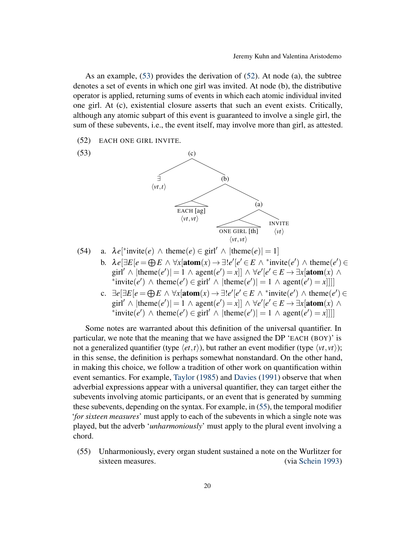As an example, [\(53\)](#page-19-0) provides the derivation of [\(52\)](#page-19-1). At node (a), the subtree denotes a set of events in which one girl was invited. At node (b), the distributive operator is applied, returning sums of events in which each atomic individual invited one girl. At (c), existential closure asserts that such an event exists. Critically, although any atomic subpart of this event is guaranteed to involve a single girl, the sum of these subevents, i.e., the event itself, may involve more than girl, as attested.

<span id="page-19-1"></span>(52) EACH ONE GIRL INVITE.

<span id="page-19-0"></span>

- (54) a.  $\lambda e^{*}$  invite(*e*)  $\wedge$  theme(*e*)  $\in$  girl'  $\wedge$  |theme(*e*)| = 1] b.  $\lambda e[\exists E[e \in \bigoplus E \land \forall x[\text{atom}(x) \to \exists! e'[e' \in E \land \text{``invite}(e') \land \text{theme}(e') \in$ girl<sup>'</sup>  $\wedge$  |theme(*e'*)| = 1  $\wedge$  agent(*e'*) = *x*]]  $\wedge \forall e'$ [ $e' \in E \rightarrow \exists x$ [atom(*x*)  $\wedge$ \*invite(*e'*)  $\land$  theme(*e'*)  $\in$  girl'  $\land$  |theme(*e'*)| = 1  $\land$  agent(*e'*) = *x*]]]]
	- c.  $\exists e[\exists E[e = \bigoplus E \land \forall x[\text{atom}(x) \rightarrow \exists! e'[e' \in E \land \text{``invite}(e')] \land \text{theme}(e') \in$ girl'  $\wedge$  |theme(*e'*)| = 1  $\wedge$  agent(*e'*) = *x*]]  $\wedge \forall e'[e' \in E \rightarrow \exists x[\text{atom}(x) \land$ \*invite(*e'*)  $\land$  theme(*e'*)  $\in$  girl'  $\land$  |theme(*e'*)| = 1  $\land$  agent(*e'*) = *x*]]]]

Some notes are warranted about this definition of the universal quantifier. In particular, we note that the meaning that we have assigned the DP 'EACH (BOY)' is not a generalized quantifier (type  $\langle et, t \rangle$ ), but rather an event modifier (type  $\langle vt, vt \rangle$ ); in this sense, the definition is perhaps somewhat nonstandard. On the other hand, in making this choice, we follow a tradition of other work on quantification within event semantics. For example, [Taylor](#page-42-8) [\(1985\)](#page-42-8) and [Davies](#page-40-8) [\(1991\)](#page-40-8) observe that when adverbial expressions appear with a universal quantifier, they can target either the subevents involving atomic participants, or an event that is generated by summing these subevents, depending on the syntax. For example, in [\(55\)](#page-19-2), the temporal modifier '*for sixteen measures*' must apply to each of the subevents in which a single note was played, but the adverb '*unharmoniously*' must apply to the plural event involving a chord.

<span id="page-19-2"></span>(55) Unharmoniously, every organ student sustained a note on the Wurlitzer for sixteen measures. (via [Schein](#page-42-9) [1993\)](#page-42-9)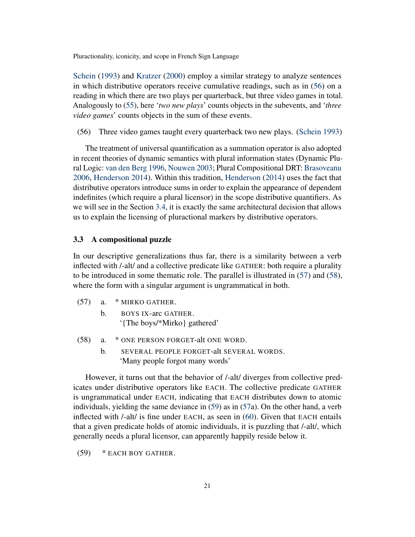[Schein](#page-42-9) [\(1993\)](#page-42-9) and [Kratzer](#page-41-9) [\(2000\)](#page-41-9) employ a similar strategy to analyze sentences in which distributive operators receive cumulative readings, such as in [\(56\)](#page-20-0) on a reading in which there are two plays per quarterback, but three video games in total. Analogously to [\(55\)](#page-19-2), here '*two new plays*' counts objects in the subevents, and '*three video games*' counts objects in the sum of these events.

<span id="page-20-0"></span>(56) Three video games taught every quarterback two new plays. [\(Schein](#page-42-9) [1993\)](#page-42-9)

The treatment of universal quantification as a summation operator is also adopted in recent theories of dynamic semantics with plural information states (Dynamic Plural Logic: [van den Berg](#page-39-1) [1996,](#page-39-1) [Nouwen](#page-42-10) [2003;](#page-42-10) Plural Compositional DRT: [Brasoveanu](#page-39-2) [2006,](#page-39-2) [Henderson](#page-41-2) [2014\)](#page-41-2). Within this tradition, [Henderson](#page-41-2) [\(2014\)](#page-41-2) uses the fact that distributive operators introduce sums in order to explain the appearance of dependent indefinites (which require a plural licensor) in the scope distributive quantifiers. As we will see in the Section [3.4,](#page-22-0) it is exactly the same architectural decision that allows us to explain the licensing of pluractional markers by distributive operators.

# 3.3 A compositional puzzle

In our descriptive generalizations thus far, there is a similarity between a verb inflected with /-alt/ and a collective predicate like GATHER: both require a plurality to be introduced in some thematic role. The parallel is illustrated in [\(57\)](#page-20-1) and [\(58\)](#page-20-2), where the form with a singular argument is ungrammatical in both.

- <span id="page-20-1"></span>(57) a. \* MIRKO GATHER.
	- b. BOYS IX-arc GATHER. '{The boys/\*Mirko} gathered'
- <span id="page-20-2"></span>(58) a. \* ONE PERSON FORGET-alt ONE WORD.
	- b. SEVERAL PEOPLE FORGET-alt SEVERAL WORDS. 'Many people forgot many words'

However, it turns out that the behavior of /-alt/ diverges from collective predicates under distributive operators like EACH. The collective predicate GATHER is ungrammatical under EACH, indicating that EACH distributes down to atomic individuals, yielding the same deviance in [\(59\)](#page-20-3) as in [\(57a](#page-20-1)). On the other hand, a verb inflected with /-alt/ is fine under EACH, as seen in [\(60\)](#page-21-0). Given that EACH entails that a given predicate holds of atomic individuals, it is puzzling that /-alt/, which generally needs a plural licensor, can apparently happily reside below it.

<span id="page-20-3"></span>(59) \* EACH BOY GATHER.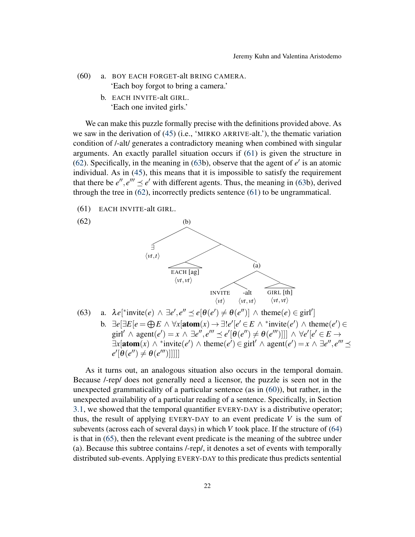- <span id="page-21-0"></span>(60) a. BOY EACH FORGET-alt BRING CAMERA. 'Each boy forgot to bring a camera.'
	- b. EACH INVITE-alt GIRL. 'Each one invited girls.'

We can make this puzzle formally precise with the definitions provided above. As we saw in the derivation of [\(45\)](#page-17-2) (i.e., 'MIRKO ARRIVE-alt.'), the thematic variation condition of /-alt/ generates a contradictory meaning when combined with singular arguments. An exactly parallel situation occurs if [\(61\)](#page-21-1) is given the structure in [\(62\)](#page-21-2). Specifically, in the meaning in [\(63b](#page-21-3)), observe that the agent of  $e'$  is an atomic individual. As in [\(45\)](#page-17-2), this means that it is impossible to satisfy the requirement that there be  $e''$ ,  $e''' \le e'$  with different agents. Thus, the meaning in [\(63b](#page-21-3)), derived through the tree in [\(62\)](#page-21-2), incorrectly predicts sentence [\(61\)](#page-21-1) to be ungrammatical.

<span id="page-21-1"></span>(61) EACH INVITE-alt GIRL.

<span id="page-21-2"></span>

<span id="page-21-3"></span>(63) a.  $\lambda e[^* \text{invite}(e) \wedge \exists e', e'' \leq e[\theta(e') \neq \theta(e'')] \wedge \text{theme}(e) \in \text{girl}']$ b.  $\exists e[\exists E[e = \bigoplus E \land \forall x[\text{atom}(x) \rightarrow \exists! e'[e' \in E \land \text{``invite}(e')] \land \text{theme}(e') \in$  $g\text{int}' \wedge \text{agent}(e') = x \wedge \exists e'', e''' \preceq e'[\theta(e'') \neq \theta(e''')] \wedge \forall e'[e' \in E \rightarrow$  $\exists x$ [atom(*x*)  $\wedge$  \*invite(*e'*)  $\wedge$  theme(*e'*)  $\in$  girl'  $\wedge$  agent(*e'*) =  $x \wedge \exists e''$ ,  $e''' \preceq$  $e'[\theta(e'') \neq \theta(e''')]]]]$ 

As it turns out, an analogous situation also occurs in the temporal domain. Because /-rep/ does not generally need a licensor, the puzzle is seen not in the unexpected grammaticality of a particular sentence (as in [\(60\)](#page-21-0)), but rather, in the unexpected availability of a particular reading of a sentence. Specifically, in Section [3.1,](#page-13-3) we showed that the temporal quantifier EVERY-DAY is a distributive operator; thus, the result of applying EVERY-DAY to an event predicate *V* is the sum of subevents (across each of several days) in which *V* took place. If the structure of [\(64\)](#page-22-1) is that in [\(65\)](#page-22-2), then the relevant event predicate is the meaning of the subtree under (a). Because this subtree contains /-rep/, it denotes a set of events with temporally distributed sub-events. Applying EVERY-DAY to this predicate thus predicts sentential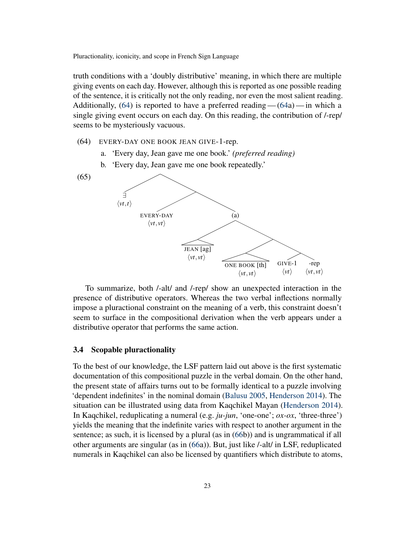truth conditions with a 'doubly distributive' meaning, in which there are multiple giving events on each day. However, although this is reported as one possible reading of the sentence, it is critically not the only reading, nor even the most salient reading. Additionally,  $(64)$  is reported to have a preferred reading —  $(64a)$  $(64a)$  — in which a single giving event occurs on each day. On this reading, the contribution of /-rep/ seems to be mysteriously vacuous.

- <span id="page-22-1"></span>(64) EVERY-DAY ONE BOOK JEAN GIVE-1-rep.
	- a. 'Every day, Jean gave me one book.' *(preferred reading)*
	- b. 'Every day, Jean gave me one book repeatedly.'

<span id="page-22-2"></span>



To summarize, both /-alt/ and /-rep/ show an unexpected interaction in the presence of distributive operators. Whereas the two verbal inflections normally impose a pluractional constraint on the meaning of a verb, this constraint doesn't seem to surface in the compositional derivation when the verb appears under a distributive operator that performs the same action.

#### <span id="page-22-0"></span>3.4 Scopable pluractionality

To the best of our knowledge, the LSF pattern laid out above is the first systematic documentation of this compositional puzzle in the verbal domain. On the other hand, the present state of affairs turns out to be formally identical to a puzzle involving 'dependent indefinites' in the nominal domain [\(Balusu](#page-39-0) [2005,](#page-39-0) [Henderson](#page-41-2) [2014\)](#page-41-2). The situation can be illustrated using data from Kaqchikel Mayan [\(Henderson](#page-41-2) [2014\)](#page-41-2). In Kaqchikel, reduplicating a numeral (e.g. *ju-jun*, 'one-one'; *ox-ox*, 'three-three') yields the meaning that the indefinite varies with respect to another argument in the sentence; as such, it is licensed by a plural (as in [\(66b](#page-23-0))) and is ungrammatical if all other arguments are singular (as in [\(66a](#page-23-0))). But, just like /-alt/ in LSF, reduplicated numerals in Kaqchikel can also be licensed by quantifiers which distribute to atoms,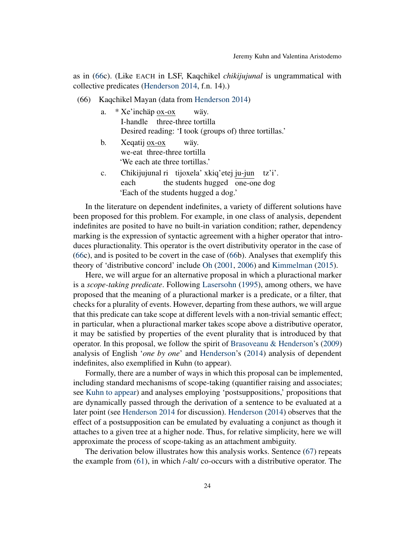as in [\(66c](#page-23-0)). (Like EACH in LSF, Kaqchikel *chikijujunal* is ungrammatical with collective predicates [\(Henderson](#page-41-2) [2014,](#page-41-2) f.n. 14).)

<span id="page-23-0"></span>(66) Kaqchikel Mayan (data from [Henderson](#page-41-2) [2014\)](#page-41-2)

| a. | $*$ Xe'inchäp $\overline{ox}$ -ox | wäy.                                                   |
|----|-----------------------------------|--------------------------------------------------------|
|    | I-handle three-three tortilla     |                                                        |
|    |                                   | Desired reading: 'I took (groups of) three tortillas.' |

- b. Xeqatij <u>ox-ox</u> we-eat three-three tortilla wäy. 'We each ate three tortillas.'
- c. Chikijujunal ri tijoxela' xkiq'etej ju-jun tz'i'. each the students hugged one-one dog 'Each of the students hugged a dog.'

In the literature on dependent indefinites, a variety of different solutions have been proposed for this problem. For example, in one class of analysis, dependent indefinites are posited to have no built-in variation condition; rather, dependency marking is the expression of syntactic agreement with a higher operator that introduces pluractionality. This operator is the overt distributivity operator in the case of [\(66c](#page-23-0)), and is posited to be covert in the case of [\(66b](#page-23-0)). Analyses that exemplify this theory of 'distributive concord' include [Oh](#page-42-11) [\(2001,](#page-42-11) [2006\)](#page-42-12) and [Kimmelman](#page-41-10) [\(2015\)](#page-41-10).

Here, we will argue for an alternative proposal in which a pluractional marker is a *scope-taking predicate*. Following [Lasersohn](#page-42-7) [\(1995\)](#page-42-7), among others, we have proposed that the meaning of a pluractional marker is a predicate, or a filter, that checks for a plurality of events. However, departing from these authors, we will argue that this predicate can take scope at different levels with a non-trivial semantic effect; in particular, when a pluractional marker takes scope above a distributive operator, it may be satisfied by properties of the event plurality that is introduced by that operator. In this proposal, we follow the spirit of [Brasoveanu & Henderson'](#page-39-3)s [\(2009\)](#page-39-3) analysis of English '*one by one*' and [Henderson'](#page-41-2)s [\(2014\)](#page-41-2) analysis of dependent indefinites, also exemplified in Kuhn (to appear).

Formally, there are a number of ways in which this proposal can be implemented, including standard mechanisms of scope-taking (quantifier raising and associates; see [Kuhn](#page-41-5) [to appear\)](#page-41-5) and analyses employing 'postsuppositions,' propositions that are dynamically passed through the derivation of a sentence to be evaluated at a later point (see [Henderson](#page-41-2) [2014](#page-41-2) for discussion). [Henderson](#page-41-2) [\(2014\)](#page-41-2) observes that the effect of a postsupposition can be emulated by evaluating a conjunct as though it attaches to a given tree at a higher node. Thus, for relative simplicity, here we will approximate the process of scope-taking as an attachment ambiguity.

The derivation below illustrates how this analysis works. Sentence [\(67\)](#page-24-0) repeats the example from [\(61\)](#page-21-1), in which /-alt/ co-occurs with a distributive operator. The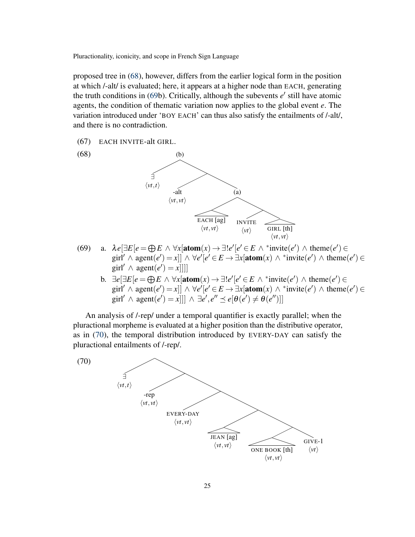proposed tree in [\(68\)](#page-24-1), however, differs from the earlier logical form in the position at which /-alt/ is evaluated; here, it appears at a higher node than EACH, generating the truth conditions in  $(69b)$  $(69b)$ . Critically, although the subevents  $e'$  still have atomic agents, the condition of thematic variation now applies to the global event *e*. The variation introduced under 'BOY EACH' can thus also satisfy the entailments of /-alt/, and there is no contradiction.

<span id="page-24-0"></span>(67) EACH INVITE-alt GIRL.

<span id="page-24-1"></span>

- <span id="page-24-2"></span>(69) a.  $\lambda e[\exists E[e \in \bigoplus E \land \forall x[\text{atom}(x) \to \exists! e'[e' \in E \land \text{``invite}(e')] \land \text{theme}(e') \in$ girl<sup> $\ell' \wedge \text{agent}(e') = x$ ]]  $\wedge \forall e' [e' \in E \rightarrow \exists x [\text{atom}(x) \wedge \exists x \text{invite}(e') \wedge \text{them}(e') \in E \rightarrow \exists x \text{atom}(e')$ </sup> girl<sup>'</sup>  $\land$  agent $\left(e^{t}\right) = x$ ]]]
	- b.  $\exists e[\exists E[e = \bigoplus E \land \forall x[\text{atom}(x) \rightarrow \exists! e'[e' \in E \land \text{``invite}(e')] \land \text{theme}(e') \in$ girl<sup> $\ell' \wedge \text{agent}(e') = x$ ]]  $\wedge \forall e' [e' \in E \rightarrow \exists x [\text{atom}(x) \wedge \exists x \text{invite}(e') \wedge \text{them}(e') \in E \rightarrow \exists x \text{atom}(e')$ </sup>  $\text{girl}' \land \text{agent}(e') = x]]] \land \exists e', e'' \preceq e[\theta(e') \neq \theta(e'')]$

An analysis of /-rep/ under a temporal quantifier is exactly parallel; when the pluractional morpheme is evaluated at a higher position than the distributive operator, as in [\(70\)](#page-24-3), the temporal distribution introduced by EVERY-DAY can satisfy the pluractional entailments of /-rep/.

<span id="page-24-3"></span>(70)

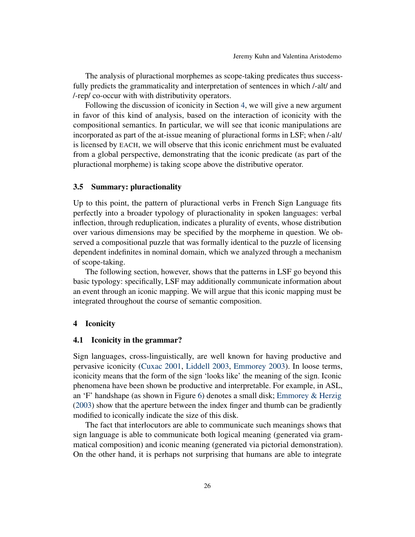The analysis of pluractional morphemes as scope-taking predicates thus successfully predicts the grammaticality and interpretation of sentences in which /-alt/ and /-rep/ co-occur with with distributivity operators.

Following the discussion of iconicity in Section [4,](#page-25-0) we will give a new argument in favor of this kind of analysis, based on the interaction of iconicity with the compositional semantics. In particular, we will see that iconic manipulations are incorporated as part of the at-issue meaning of pluractional forms in LSF; when /-alt/ is licensed by EACH, we will observe that this iconic enrichment must be evaluated from a global perspective, demonstrating that the iconic predicate (as part of the pluractional morpheme) is taking scope above the distributive operator.

#### 3.5 Summary: pluractionality

Up to this point, the pattern of pluractional verbs in French Sign Language fits perfectly into a broader typology of pluractionality in spoken languages: verbal inflection, through reduplication, indicates a plurality of events, whose distribution over various dimensions may be specified by the morpheme in question. We observed a compositional puzzle that was formally identical to the puzzle of licensing dependent indefinites in nominal domain, which we analyzed through a mechanism of scope-taking.

The following section, however, shows that the patterns in LSF go beyond this basic typology: specifically, LSF may additionally communicate information about an event through an iconic mapping. We will argue that this iconic mapping must be integrated throughout the course of semantic composition.

#### <span id="page-25-0"></span>4 Iconicity

#### <span id="page-25-1"></span>4.1 Iconicity in the grammar?

Sign languages, cross-linguistically, are well known for having productive and pervasive iconicity [\(Cuxac](#page-40-9) [2001,](#page-40-9) [Liddell](#page-42-13) [2003,](#page-42-13) [Emmorey](#page-40-10) [2003\)](#page-40-10). In loose terms, iconicity means that the form of the sign 'looks like' the meaning of the sign. Iconic phenomena have been shown be productive and interpretable. For example, in ASL, an 'F' handshape (as shown in Figure [6\)](#page-26-0) denotes a small disk; [Emmorey & Herzig](#page-40-1) [\(2003\)](#page-40-1) show that the aperture between the index finger and thumb can be gradiently modified to iconically indicate the size of this disk.

The fact that interlocutors are able to communicate such meanings shows that sign language is able to communicate both logical meaning (generated via grammatical composition) and iconic meaning (generated via pictorial demonstration). On the other hand, it is perhaps not surprising that humans are able to integrate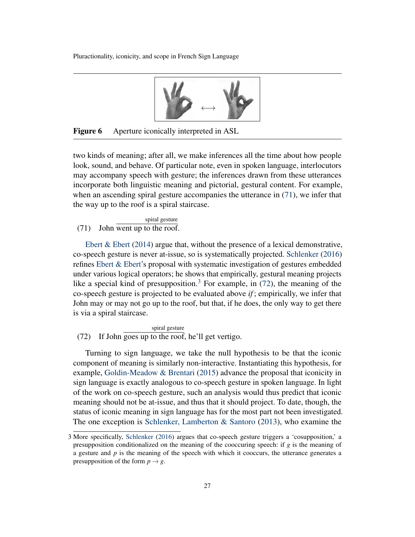

<span id="page-26-0"></span>Figure 6 Aperture iconically interpreted in ASL

two kinds of meaning; after all, we make inferences all the time about how people look, sound, and behave. Of particular note, even in spoken language, interlocutors may accompany speech with gesture; the inferences drawn from these utterances incorporate both linguistic meaning and pictorial, gestural content. For example, when an ascending spiral gesture accompanies the utterance in  $(71)$ , we infer that the way up to the roof is a spiral staircase.

<span id="page-26-1"></span>(71) John went up to the roof. spiral gesture

Ebert  $& Ebert (2014)$  $& Ebert (2014)$  argue that, without the presence of a lexical demonstrative, co-speech gesture is never at-issue, so is systematically projected. [Schlenker](#page-42-14) [\(2016\)](#page-42-14) refines [Ebert & Ebert'](#page-40-11)s proposal with systematic investigation of gestures embedded under various logical operators; he shows that empirically, gestural meaning projects like a special kind of presupposition.<sup>[3](#page-26-2)</sup> For example, in  $(72)$ , the meaning of the co-speech gesture is projected to be evaluated above *if* ; empirically, we infer that John may or may not go up to the roof, but that, if he does, the only way to get there is via a spiral staircase.

<span id="page-26-3"></span>(72) If John goes up to the roof, he'll get vertigo. spiral gesture

Turning to sign language, we take the null hypothesis to be that the iconic component of meaning is similarly non-interactive. Instantiating this hypothesis, for example, [Goldin-Meadow & Brentari](#page-41-11) [\(2015\)](#page-41-11) advance the proposal that iconicity in sign language is exactly analogous to co-speech gesture in spoken language. In light of the work on co-speech gesture, such an analysis would thus predict that iconic meaning should not be at-issue, and thus that it should project. To date, though, the status of iconic meaning in sign language has for the most part not been investigated. The one exception is [Schlenker, Lamberton & Santoro](#page-42-15) [\(2013\)](#page-42-15), who examine the

<span id="page-26-2"></span><sup>3</sup> More specifically, [Schlenker](#page-42-14) [\(2016\)](#page-42-14) argues that co-speech gesture triggers a 'cosupposition,' a presupposition conditionalized on the meaning of the cooccuring speech: if  $g$  is the meaning of a gesture and *p* is the meaning of the speech with which it cooccurs, the utterance generates a presupposition of the form  $p \rightarrow g$ .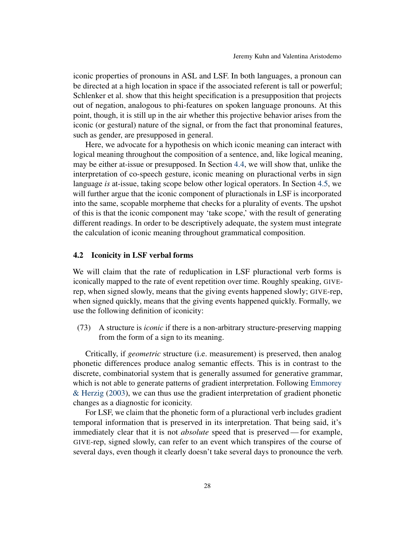iconic properties of pronouns in ASL and LSF. In both languages, a pronoun can be directed at a high location in space if the associated referent is tall or powerful; Schlenker et al. show that this height specification is a presupposition that projects out of negation, analogous to phi-features on spoken language pronouns. At this point, though, it is still up in the air whether this projective behavior arises from the iconic (or gestural) nature of the signal, or from the fact that pronominal features, such as gender, are presupposed in general.

Here, we advocate for a hypothesis on which iconic meaning can interact with logical meaning throughout the composition of a sentence, and, like logical meaning, may be either at-issue or presupposed. In Section [4.4,](#page-34-0) we will show that, unlike the interpretation of co-speech gesture, iconic meaning on pluractional verbs in sign language *is* at-issue, taking scope below other logical operators. In Section [4.5,](#page-37-0) we will further argue that the iconic component of pluractionals in LSF is incorporated into the same, scopable morpheme that checks for a plurality of events. The upshot of this is that the iconic component may 'take scope,' with the result of generating different readings. In order to be descriptively adequate, the system must integrate the calculation of iconic meaning throughout grammatical composition.

### <span id="page-27-0"></span>4.2 Iconicity in LSF verbal forms

We will claim that the rate of reduplication in LSF pluractional verb forms is iconically mapped to the rate of event repetition over time. Roughly speaking, GIVErep, when signed slowly, means that the giving events happened slowly; GIVE-rep, when signed quickly, means that the giving events happened quickly. Formally, we use the following definition of iconicity:

(73) A structure is *iconic* if there is a non-arbitrary structure-preserving mapping from the form of a sign to its meaning.

Critically, if *geometric* structure (i.e. measurement) is preserved, then analog phonetic differences produce analog semantic effects. This is in contrast to the discrete, combinatorial system that is generally assumed for generative grammar, which is not able to generate patterns of gradient interpretation. Following [Emmorey](#page-40-1) [& Herzig](#page-40-1) [\(2003\)](#page-40-1), we can thus use the gradient interpretation of gradient phonetic changes as a diagnostic for iconicity.

For LSF, we claim that the phonetic form of a pluractional verb includes gradient temporal information that is preserved in its interpretation. That being said, it's immediately clear that it is not *absolute* speed that is preserved— for example, GIVE-rep, signed slowly, can refer to an event which transpires of the course of several days, even though it clearly doesn't take several days to pronounce the verb.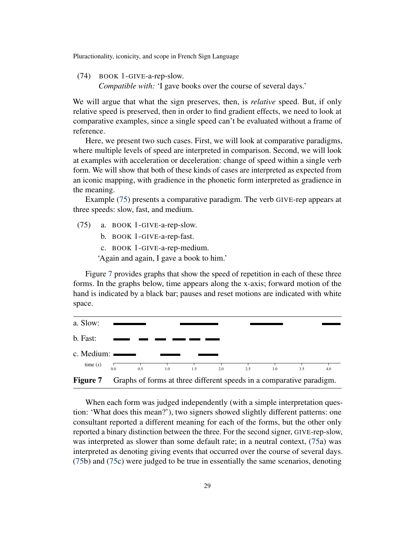(74) BOOK 1-GIVE-a-rep-slow.

*Compatible with:* 'I gave books over the course of several days.'

We will argue that what the sign preserves, then, is *relative* speed. But, if only relative speed is preserved, then in order to find gradient effects, we need to look at comparative examples, since a single speed can't be evaluated without a frame of reference.

Here, we present two such cases. First, we will look at comparative paradigms, where multiple levels of speed are interpreted in comparison. Second, we will look at examples with acceleration or deceleration: change of speed within a single verb form. We will show that both of these kinds of cases are interpreted as expected from an iconic mapping, with gradience in the phonetic form interpreted as gradience in the meaning.

Example [\(75\)](#page-28-0) presents a comparative paradigm. The verb GIVE-rep appears at three speeds: slow, fast, and medium.

- <span id="page-28-0"></span>(75) a. BOOK 1-GIVE-a-rep-slow.
	- b. BOOK 1-GIVE-a-rep-fast.
	- c. BOOK 1-GIVE-a-rep-medium.

'Again and again, I gave a book to him.'

Figure [7](#page-28-1) provides graphs that show the speed of repetition in each of these three forms. In the graphs below, time appears along the x-axis; forward motion of the hand is indicated by a black bar; pauses and reset motions are indicated with white space.



<span id="page-28-1"></span>When each form was judged independently (with a simple interpretation question: 'What does this mean?'), two signers showed slightly different patterns: one consultant reported a different meaning for each of the forms, but the other only reported a binary distinction between the three. For the second signer, GIVE-rep-slow, was interpreted as slower than some default rate; in a neutral context, [\(75a](#page-28-0)) was interpreted as denoting giving events that occurred over the course of several days. [\(75b](#page-28-0)) and [\(75c](#page-28-0)) were judged to be true in essentially the same scenarios, denoting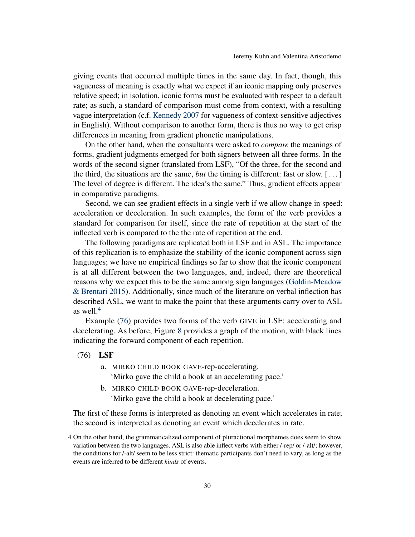giving events that occurred multiple times in the same day. In fact, though, this vagueness of meaning is exactly what we expect if an iconic mapping only preserves relative speed; in isolation, iconic forms must be evaluated with respect to a default rate; as such, a standard of comparison must come from context, with a resulting vague interpretation (c.f. [Kennedy](#page-41-12) [2007](#page-41-12) for vagueness of context-sensitive adjectives in English). Without comparison to another form, there is thus no way to get crisp differences in meaning from gradient phonetic manipulations.

On the other hand, when the consultants were asked to *compare* the meanings of forms, gradient judgments emerged for both signers between all three forms. In the words of the second signer (translated from LSF), "Of the three, for the second and the third, the situations are the same, *but* the timing is different: fast or slow. [ . . . ] The level of degree is different. The idea's the same." Thus, gradient effects appear in comparative paradigms.

Second, we can see gradient effects in a single verb if we allow change in speed: acceleration or deceleration. In such examples, the form of the verb provides a standard for comparison for itself, since the rate of repetition at the start of the inflected verb is compared to the the rate of repetition at the end.

The following paradigms are replicated both in LSF and in ASL. The importance of this replication is to emphasize the stability of the iconic component across sign languages; we have no empirical findings so far to show that the iconic component is at all different between the two languages, and, indeed, there are theoretical reasons why we expect this to be the same among sign languages [\(Goldin-Meadow](#page-41-11) [& Brentari](#page-41-11) [2015\)](#page-41-11). Additionally, since much of the literature on verbal inflection has described ASL, we want to make the point that these arguments carry over to ASL as well. $4$ 

Example [\(76\)](#page-29-1) provides two forms of the verb GIVE in LSF: accelerating and decelerating. As before, Figure [8](#page-30-0) provides a graph of the motion, with black lines indicating the forward component of each repetition.

<span id="page-29-1"></span>(76) LSF

- a. MIRKO CHILD BOOK GAVE-rep-accelerating. 'Mirko gave the child a book at an accelerating pace.'
- b. MIRKO CHILD BOOK GAVE-rep-deceleration.

'Mirko gave the child a book at decelerating pace.'

The first of these forms is interpreted as denoting an event which accelerates in rate; the second is interpreted as denoting an event which decelerates in rate.

<span id="page-29-0"></span><sup>4</sup> On the other hand, the grammaticalized component of pluractional morphemes does seem to show variation between the two languages. ASL is also able inflect verbs with either /-rep/ or /-alt/; however, the conditions for /-alt/ seem to be less strict: thematic participants don't need to vary, as long as the events are inferred to be different *kinds* of events.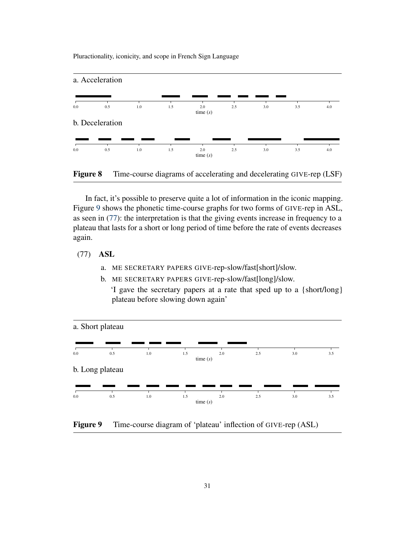

<span id="page-30-0"></span>Figure 8 Time-course diagrams of accelerating and decelerating GIVE-rep (LSF)

In fact, it's possible to preserve quite a lot of information in the iconic mapping. Figure [9](#page-30-1) shows the phonetic time-course graphs for two forms of GIVE-rep in ASL, as seen in [\(77\)](#page-30-2): the interpretation is that the giving events increase in frequency to a plateau that lasts for a short or long period of time before the rate of events decreases again.

<span id="page-30-2"></span>(77) ASL

- a. ME SECRETARY PAPERS GIVE-rep-slow/fast[short]/slow.
- b. ME SECRETARY PAPERS GIVE-rep-slow/fast[long]/slow.

'I gave the secretary papers at a rate that sped up to a {short/long} plateau before slowing down again'



<span id="page-30-1"></span>Figure 9 Time-course diagram of 'plateau' inflection of GIVE-rep (ASL)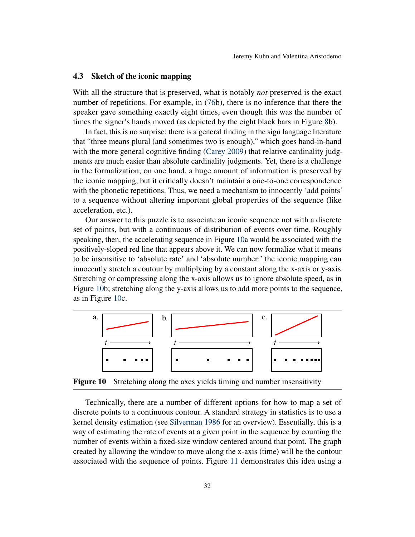#### 4.3 Sketch of the iconic mapping

With all the structure that is preserved, what is notably *not* preserved is the exact number of repetitions. For example, in [\(76b](#page-29-1)), there is no inference that there the speaker gave something exactly eight times, even though this was the number of times the signer's hands moved (as depicted by the eight black bars in Figure [8b](#page-30-0)).

In fact, this is no surprise; there is a general finding in the sign language literature that "three means plural (and sometimes two is enough)," which goes hand-in-hand with the more general cognitive finding [\(Carey](#page-40-12) [2009\)](#page-40-12) that relative cardinality judgments are much easier than absolute cardinality judgments. Yet, there is a challenge in the formalization; on one hand, a huge amount of information is preserved by the iconic mapping, but it critically doesn't maintain a one-to-one correspondence with the phonetic repetitions. Thus, we need a mechanism to innocently 'add points' to a sequence without altering important global properties of the sequence (like acceleration, etc.).

Our answer to this puzzle is to associate an iconic sequence not with a discrete set of points, but with a continuous of distribution of events over time. Roughly speaking, then, the accelerating sequence in Figure [10a](#page-31-0) would be associated with the positively-sloped red line that appears above it. We can now formalize what it means to be insensitive to 'absolute rate' and 'absolute number:' the iconic mapping can innocently stretch a coutour by multiplying by a constant along the x-axis or y-axis. Stretching or compressing along the x-axis allows us to ignore absolute speed, as in Figure [10b](#page-31-0); stretching along the y-axis allows us to add more points to the sequence, as in Figure [10c](#page-31-0).



<span id="page-31-0"></span>Figure 10 Stretching along the axes yields timing and number insensitivity

Technically, there are a number of different options for how to map a set of discrete points to a continuous contour. A standard strategy in statistics is to use a kernel density estimation (see [Silverman](#page-42-16) [1986](#page-42-16) for an overview). Essentially, this is a way of estimating the rate of events at a given point in the sequence by counting the number of events within a fixed-size window centered around that point. The graph created by allowing the window to move along the x-axis (time) will be the contour associated with the sequence of points. Figure [11](#page-32-0) demonstrates this idea using a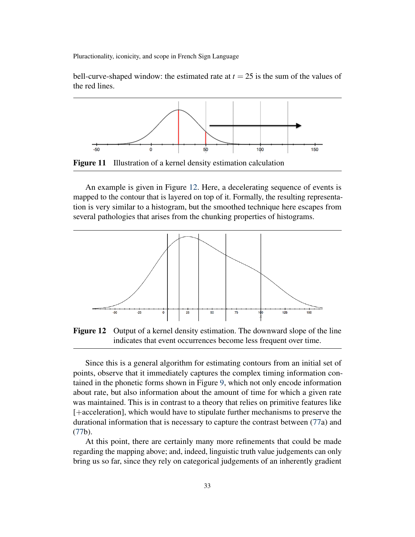bell-curve-shaped window: the estimated rate at  $t = 25$  is the sum of the values of the red lines.



<span id="page-32-0"></span>An example is given in Figure [12.](#page-32-1) Here, a decelerating sequence of events is mapped to the contour that is layered on top of it. Formally, the resulting representation is very similar to a histogram, but the smoothed technique here escapes from several pathologies that arises from the chunking properties of histograms.



<span id="page-32-1"></span>Figure 12 Output of a kernel density estimation. The downward slope of the line indicates that event occurrences become less frequent over time.

Since this is a general algorithm for estimating contours from an initial set of points, observe that it immediately captures the complex timing information contained in the phonetic forms shown in Figure [9,](#page-30-1) which not only encode information about rate, but also information about the amount of time for which a given rate was maintained. This is in contrast to a theory that relies on primitive features like [+acceleration], which would have to stipulate further mechanisms to preserve the durational information that is necessary to capture the contrast between [\(77a](#page-30-2)) and [\(77b](#page-30-2)).

At this point, there are certainly many more refinements that could be made regarding the mapping above; and, indeed, linguistic truth value judgements can only bring us so far, since they rely on categorical judgements of an inherently gradient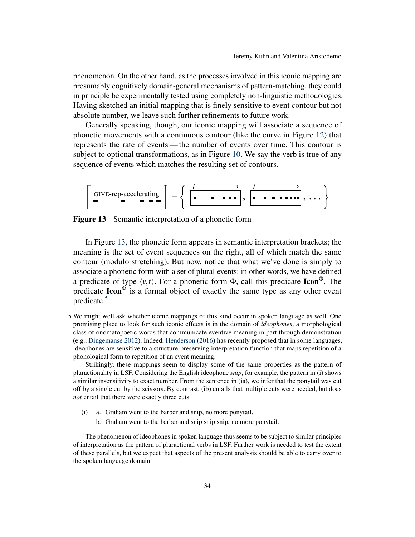phenomenon. On the other hand, as the processes involved in this iconic mapping are presumably cognitively domain-general mechanisms of pattern-matching, they could in principle be experimentally tested using completely non-linguistic methodologies. Having sketched an initial mapping that is finely sensitive to event contour but not absolute number, we leave such further refinements to future work.

Generally speaking, though, our iconic mapping will associate a sequence of phonetic movements with a continuous contour (like the curve in Figure [12\)](#page-32-1) that represents the rate of events— the number of events over time. This contour is subject to optional transformations, as in Figure [10.](#page-31-0) We say the verb is true of any sequence of events which matches the resulting set of contours.

$$
\left[\begin{array}{c}\n\text{GIVE-rep-accelerating} \\
\hline\n\end{array}\right] = \left\{\begin{array}{ccc}\n\left(\begin{array}{ccc}\n\text{I} & \text{I} & \text{II} & \text{II} \\
\hline\n\end{array}\right), \begin{array}{ccc}\n\text{I} & \text{II} & \text{II} \\
\hline\n\end{array}\right), \ldots\right\}
$$

<span id="page-33-0"></span>Figure 13 Semantic interpretation of a phonetic form

In Figure [13,](#page-33-0) the phonetic form appears in semantic interpretation brackets; the meaning is the set of event sequences on the right, all of which match the same contour (modulo stretching). But now, notice that what we've done is simply to associate a phonetic form with a set of plural events: in other words, we have defined a predicate of type  $\langle v, t \rangle$ . For a phonetic form  $\Phi$ , call this predicate **Icon**<sup> $\Phi$ </sup>. The predicate  $\text{Icon}^{\Phi}$  is a formal object of exactly the same type as any other event predicate.[5](#page-33-1)

- (i) a. Graham went to the barber and snip, no more ponytail.
	- b. Graham went to the barber and snip snip snip, no more ponytail.

<span id="page-33-1"></span><sup>5</sup> We might well ask whether iconic mappings of this kind occur in spoken language as well. One promising place to look for such iconic effects is in the domain of *ideophones*, a morphological class of onomatopoetic words that communicate eventive meaning in part through demonstration (e.g., [Dingemanse](#page-40-13) [2012\)](#page-40-13). Indeed, [Henderson](#page-41-13) [\(2016\)](#page-41-13) has recently proposed that in some languages, ideophones are sensitive to a structure-preserving interpretation function that maps repetition of a phonological form to repetition of an event meaning.

Strikingly, these mappings seem to display some of the same properties as the pattern of pluractionality in LSF. Considering the English ideophone *snip*, for example, the pattern in (i) shows a similar insensitivity to exact number. From the sentence in (ia), we infer that the ponytail was cut off by a single cut by the scissors. By contrast, (ib) entails that multiple cuts were needed, but does *not* entail that there were exactly three cuts.

The phenomenon of ideophones in spoken language thus seems to be subject to similar principles of interpretation as the pattern of pluractional verbs in LSF. Further work is needed to test the extent of these parallels, but we expect that aspects of the present analysis should be able to carry over to the spoken language domain.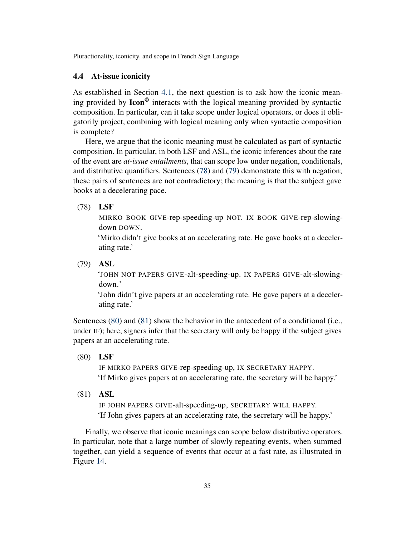# <span id="page-34-0"></span>4.4 At-issue iconicity

As established in Section [4.1,](#page-25-1) the next question is to ask how the iconic meaning provided by  $\text{Icon}^{\Phi}$  interacts with the logical meaning provided by syntactic composition. In particular, can it take scope under logical operators, or does it obligatorily project, combining with logical meaning only when syntactic composition is complete?

Here, we argue that the iconic meaning must be calculated as part of syntactic composition. In particular, in both LSF and ASL, the iconic inferences about the rate of the event are *at-issue entailments*, that can scope low under negation, conditionals, and distributive quantifiers. Sentences [\(78\)](#page-34-1) and [\(79\)](#page-34-2) demonstrate this with negation; these pairs of sentences are not contradictory; the meaning is that the subject gave books at a decelerating pace.

### <span id="page-34-1"></span>(78) LSF

MIRKO BOOK GIVE-rep-speeding-up NOT. IX BOOK GIVE-rep-slowingdown DOWN.

'Mirko didn't give books at an accelerating rate. He gave books at a decelerating rate.'

<span id="page-34-2"></span>(79) ASL

'JOHN NOT PAPERS GIVE-alt-speeding-up. IX PAPERS GIVE-alt-slowingdown.'

'John didn't give papers at an accelerating rate. He gave papers at a decelerating rate.'

Sentences [\(80\)](#page-34-3) and [\(81\)](#page-34-4) show the behavior in the antecedent of a conditional (i.e., under IF); here, signers infer that the secretary will only be happy if the subject gives papers at an accelerating rate.

<span id="page-34-3"></span>(80) LSF

IF MIRKO PAPERS GIVE-rep-speeding-up, IX SECRETARY HAPPY. 'If Mirko gives papers at an accelerating rate, the secretary will be happy.'

<span id="page-34-4"></span>(81) ASL

IF JOHN PAPERS GIVE-alt-speeding-up, SECRETARY WILL HAPPY. 'If John gives papers at an accelerating rate, the secretary will be happy.'

Finally, we observe that iconic meanings can scope below distributive operators. In particular, note that a large number of slowly repeating events, when summed together, can yield a sequence of events that occur at a fast rate, as illustrated in Figure [14.](#page-35-0)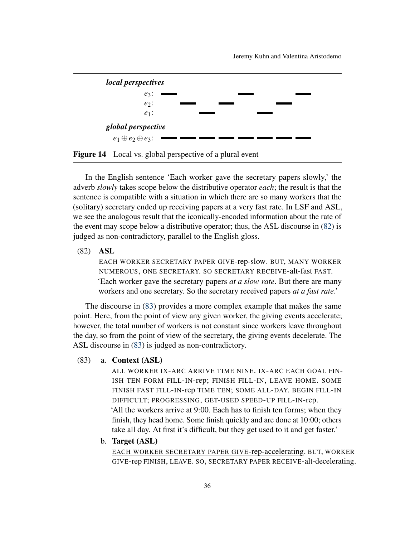

<span id="page-35-0"></span>

In the English sentence 'Each worker gave the secretary papers slowly,' the adverb *slowly* takes scope below the distributive operator *each*; the result is that the sentence is compatible with a situation in which there are so many workers that the (solitary) secretary ended up receiving papers at a very fast rate. In LSF and ASL, we see the analogous result that the iconically-encoded information about the rate of the event may scope below a distributive operator; thus, the ASL discourse in [\(82\)](#page-35-1) is judged as non-contradictory, parallel to the English gloss.

# <span id="page-35-1"></span>(82) ASL

EACH WORKER SECRETARY PAPER GIVE-rep-slow. BUT, MANY WORKER NUMEROUS, ONE SECRETARY. SO SECRETARY RECEIVE-alt-fast FAST. 'Each worker gave the secretary papers *at a slow rate*. But there are many workers and one secretary. So the secretary received papers *at a fast rate*.'

The discourse in [\(83\)](#page-35-2) provides a more complex example that makes the same point. Here, from the point of view any given worker, the giving events accelerate; however, the total number of workers is not constant since workers leave throughout the day, so from the point of view of the secretary, the giving events decelerate. The ASL discourse in [\(83\)](#page-35-2) is judged as non-contradictory.

# <span id="page-35-2"></span>(83) a. Context (ASL)

ALL WORKER IX-ARC ARRIVE TIME NINE. IX-ARC EACH GOAL FIN-ISH TEN FORM FILL-IN-rep; FINISH FILL-IN, LEAVE HOME. SOME FINISH FAST FILL-IN-rep TIME TEN; SOME ALL-DAY. BEGIN FILL-IN DIFFICULT; PROGRESSING, GET-USED SPEED-UP FILL-IN-rep.

'All the workers arrive at 9:00. Each has to finish ten forms; when they finish, they head home. Some finish quickly and are done at 10:00; others take all day. At first it's difficult, but they get used to it and get faster.'

b. Target (ASL)

EACH WORKER SECRETARY PAPER GIVE-rep-accelerating. BUT, WORKER GIVE-rep FINISH, LEAVE. SO, SECRETARY PAPER RECEIVE-alt-decelerating.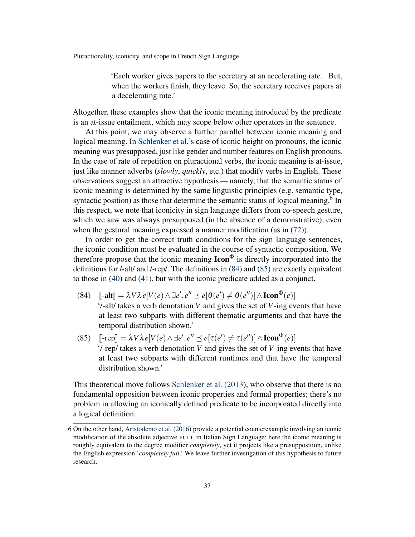'Each worker gives papers to the secretary at an accelerating rate. But, when the workers finish, they leave. So, the secretary receives papers at a decelerating rate.'

Altogether, these examples show that the iconic meaning introduced by the predicate is an at-issue entailment, which may scope below other operators in the sentence.

At this point, we may observe a further parallel between iconic meaning and logical meaning. In [Schlenker et al.'](#page-42-15)s case of iconic height on pronouns, the iconic meaning was presupposed, just like gender and number features on English pronouns. In the case of rate of repetition on pluractional verbs, the iconic meaning is at-issue, just like manner adverbs (*slowly*, *quickly*, etc.) that modify verbs in English. These observations suggest an attractive hypothesis— namely, that the semantic status of iconic meaning is determined by the same linguistic principles (e.g. semantic type, syntactic position) as those that determine the semantic status of logical meaning.<sup>[6](#page-36-0)</sup> In this respect, we note that iconicity in sign language differs from co-speech gesture, which we saw was always presupposed (in the absence of a demonstrative), even when the gestural meaning expressed a manner modification (as in  $(72)$ ).

In order to get the correct truth conditions for the sign language sentences, the iconic condition must be evaluated in the course of syntactic composition. We therefore propose that the iconic meaning  $\text{Icon}^{\Phi}$  is directly incorporated into the definitions for /-alt/ and /-rep/. The definitions in [\(84\)](#page-36-1) and [\(85\)](#page-36-2) are exactly equivalent to those in [\(40\)](#page-16-3) and [\(41\)](#page-16-4), but with the iconic predicate added as a conjunct.

- <span id="page-36-1"></span>(84)  $\left[\left[-\text{alt}\right] = \lambda V \lambda e[V(e) \wedge \exists e', e'' \preceq e[\theta(e') \neq \theta(e'')] \wedge \text{Icon}^{\Phi}(e)]\right]$ '/-alt/ takes a verb denotation *V* and gives the set of *V*-ing events that have at least two subparts with different thematic arguments and that have the temporal distribution shown.'
- <span id="page-36-2"></span>(85)  $\left[ \text{-rep} \right] = \lambda V \lambda e[V(e) \wedge \exists e', e'' \leq e[\tau(e') \neq \tau(e'')] \wedge \text{Icon}^{\Phi}(e)]$ <br>(*t* gan/takes a verb denotation *V* and gives the set of *V* ing ay '/-rep/ takes a verb denotation *V* and gives the set of *V*-ing events that have at least two subparts with different runtimes and that have the temporal distribution shown.'

This theoretical move follows [Schlenker et al.](#page-42-15) [\(2013\)](#page-42-15), who observe that there is no fundamental opposition between iconic properties and formal properties; there's no problem in allowing an iconically defined predicate to be incorporated directly into a logical definition.

<span id="page-36-0"></span><sup>6</sup> On the other hand, [Aristodemo et al.](#page-39-4) [\(2016\)](#page-39-4) provide a potential counterexample involving an iconic modification of the absolute adjective FULL in Italian Sign Language; here the iconic meaning is roughly equivalent to the degree modifier *completely*, yet it projects like a presupposition, unlike the English expression '*completely full*.' We leave further investigation of this hypothesis to future research.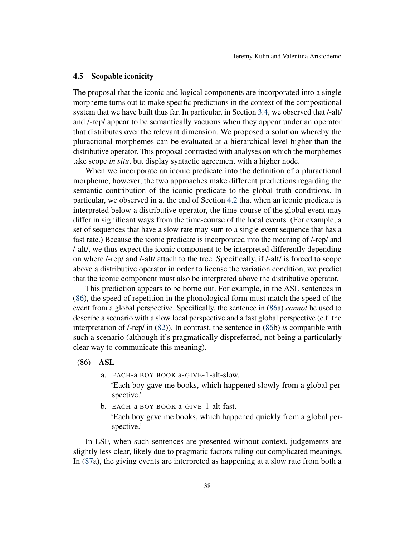### <span id="page-37-0"></span>4.5 Scopable iconicity

The proposal that the iconic and logical components are incorporated into a single morpheme turns out to make specific predictions in the context of the compositional system that we have built thus far. In particular, in Section [3.4,](#page-22-0) we observed that /-alt/ and /-rep/ appear to be semantically vacuous when they appear under an operator that distributes over the relevant dimension. We proposed a solution whereby the pluractional morphemes can be evaluated at a hierarchical level higher than the distributive operator. This proposal contrasted with analyses on which the morphemes take scope *in situ*, but display syntactic agreement with a higher node.

When we incorporate an iconic predicate into the definition of a pluractional morpheme, however, the two approaches make different predictions regarding the semantic contribution of the iconic predicate to the global truth conditions. In particular, we observed in at the end of Section [4.2](#page-27-0) that when an iconic predicate is interpreted below a distributive operator, the time-course of the global event may differ in significant ways from the time-course of the local events. (For example, a set of sequences that have a slow rate may sum to a single event sequence that has a fast rate.) Because the iconic predicate is incorporated into the meaning of /-rep/ and /-alt/, we thus expect the iconic component to be interpreted differently depending on where /-rep/ and /-alt/ attach to the tree. Specifically, if /-alt/ is forced to scope above a distributive operator in order to license the variation condition, we predict that the iconic component must also be interpreted above the distributive operator.

This prediction appears to be borne out. For example, in the ASL sentences in [\(86\)](#page-37-1), the speed of repetition in the phonological form must match the speed of the event from a global perspective. Specifically, the sentence in [\(86a](#page-37-1)) *cannot* be used to describe a scenario with a slow local perspective and a fast global perspective (c.f. the interpretation of /-rep/ in [\(82\)](#page-35-1)). In contrast, the sentence in [\(86b](#page-37-1)) *is* compatible with such a scenario (although it's pragmatically dispreferred, not being a particularly clear way to communicate this meaning).

# <span id="page-37-1"></span>(86) ASL

spective.'

a. EACH-a BOY BOOK a-GIVE-1-alt-slow.

'Each boy gave me books, which happened slowly from a global perspective.'

b. EACH-a BOY BOOK a-GIVE-1-alt-fast. 'Each boy gave me books, which happened quickly from a global per-

In LSF, when such sentences are presented without context, judgements are slightly less clear, likely due to pragmatic factors ruling out complicated meanings. In [\(87a](#page-38-0)), the giving events are interpreted as happening at a slow rate from both a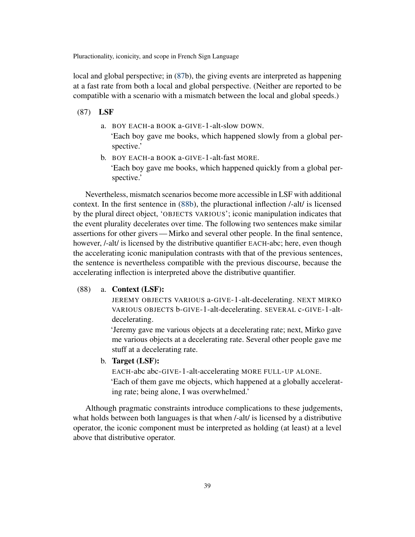local and global perspective; in [\(87b](#page-38-0)), the giving events are interpreted as happening at a fast rate from both a local and global perspective. (Neither are reported to be compatible with a scenario with a mismatch between the local and global speeds.)

### <span id="page-38-0"></span>(87) LSF

a. BOY EACH-a BOOK a-GIVE-1-alt-slow DOWN.

'Each boy gave me books, which happened slowly from a global perspective.'

b. BOY EACH-a BOOK a-GIVE-1-alt-fast MORE. 'Each boy gave me books, which happened quickly from a global perspective.'

Nevertheless, mismatch scenarios become more accessible in LSF with additional context. In the first sentence in [\(88b\)](#page-38-1), the pluractional inflection /-alt/ is licensed by the plural direct object, 'OBJECTS VARIOUS'; iconic manipulation indicates that the event plurality decelerates over time. The following two sentences make similar assertions for other givers— Mirko and several other people. In the final sentence, however, /-alt/ is licensed by the distributive quantifier EACH-abc; here, even though the accelerating iconic manipulation contrasts with that of the previous sentences, the sentence is nevertheless compatible with the previous discourse, because the accelerating inflection is interpreted above the distributive quantifier.

### (88) a. Context (LSF):

JEREMY OBJECTS VARIOUS a-GIVE-1-alt-decelerating. NEXT MIRKO VARIOUS OBJECTS b-GIVE-1-alt-decelerating. SEVERAL c-GIVE-1-altdecelerating.

'Jeremy gave me various objects at a decelerating rate; next, Mirko gave me various objects at a decelerating rate. Several other people gave me stuff at a decelerating rate.

<span id="page-38-1"></span>b. Target (LSF):

EACH-abc abc-GIVE-1-alt-accelerating MORE FULL-UP ALONE. 'Each of them gave me objects, which happened at a globally accelerating rate; being alone, I was overwhelmed.'

Although pragmatic constraints introduce complications to these judgements, what holds between both languages is that when /-alt/ is licensed by a distributive operator, the iconic component must be interpreted as holding (at least) at a level above that distributive operator.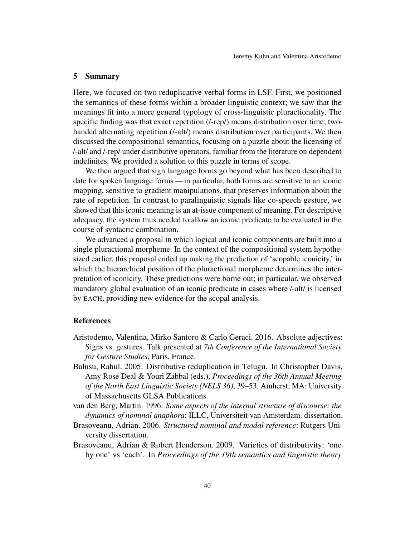#### 5 Summary

Here, we focused on two reduplicative verbal forms in LSF. First, we positioned the semantics of these forms within a broader linguistic context; we saw that the meanings fit into a more general typology of cross-linguistic pluractionality. The specific finding was that exact repetition (/-rep/) means distribution over time; twohanded alternating repetition (*/-alt/*) means distribution over participants. We then discussed the compositional semantics, focusing on a puzzle about the licensing of /-alt/ and /-rep/ under distributive operators, familiar from the literature on dependent indefinites. We provided a solution to this puzzle in terms of scope.

We then argued that sign language forms go beyond what has been described to date for spoken language forms — in particular, both forms are sensitive to an iconic mapping, sensitive to gradient manipulations, that preserves information about the rate of repetition. In contrast to paralinguistic signals like co-speech gesture, we showed that this iconic meaning is an at-issue component of meaning. For descriptive adequacy, the system thus needed to allow an iconic predicate to be evaluated in the course of syntactic combination.

We advanced a proposal in which logical and iconic components are built into a single pluractional morpheme. In the context of the compositional system hypothesized earlier, this proposal ended up making the prediction of 'scopable iconicity,' in which the hierarchical position of the pluractional morpheme determines the interpretation of iconicity. These predictions were borne out; in particular, we observed mandatory global evaluation of an iconic predicate in cases where /-alt/ is licensed by EACH, providing new evidence for the scopal analysis.

### References

- <span id="page-39-4"></span>Aristodemo, Valentina, Mirko Santoro & Carlo Geraci. 2016. Absolute adjectives: Signs vs. gestures. Talk presented at *7th Conference of the International Society for Gesture Studies*, Paris, France.
- <span id="page-39-0"></span>Balusu, Rahul. 2005. Distributive reduplication in Telugu. In Christopher Davis, Amy Rose Deal & Youri Zabbal (eds.), *Proceedings of the 36th Annual Meeting of the North East Linguistic Society (NELS 36)*, 39–53. Amherst, MA: University of Massachusetts GLSA Publications.
- <span id="page-39-1"></span>van den Berg, Martin. 1996. *Some aspects of the internal structure of discourse: the dynamics of nominal anaphora*: ILLC, Universiteit van Amsterdam. dissertation.
- <span id="page-39-2"></span>Brasoveanu, Adrian. 2006. *Structured nominal and modal reference*: Rutgers University dissertation.
- <span id="page-39-3"></span>Brasoveanu, Adrian & Robert Henderson. 2009. Varieties of distributivity: 'one by one' vs 'each'. In *Proceedings of the 19th semantics and linguistic theory*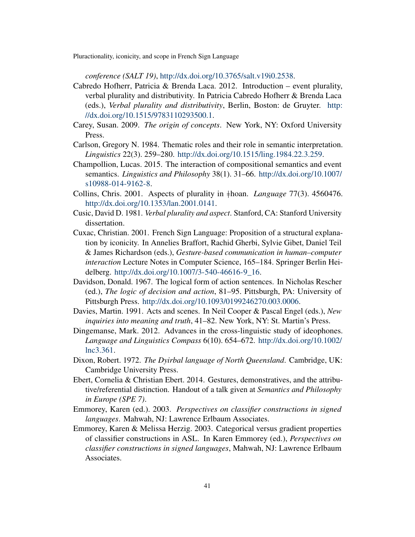*conference (SALT 19)*, [http://dx.doi.org/10.3765/salt.v19i0.2538.](http://dx.doi.org/10.3765/salt.v19i0.2538)

- <span id="page-40-4"></span>Cabredo Hofherr, Patricia & Brenda Laca. 2012. Introduction – event plurality, verbal plurality and distributivity. In Patricia Cabredo Hofherr & Brenda Laca (eds.), *Verbal plurality and distributivity*, Berlin, Boston: de Gruyter. [http:](http://dx.doi.org/10.1515/9783110293500.1) [//dx.doi.org/10.1515/9783110293500.1.](http://dx.doi.org/10.1515/9783110293500.1)
- <span id="page-40-12"></span>Carey, Susan. 2009. *The origin of concepts*. New York, NY: Oxford University Press.
- <span id="page-40-6"></span>Carlson, Gregory N. 1984. Thematic roles and their role in semantic interpretation. *Linguistics* 22(3). 259–280. [http://dx.doi.org/10.1515/ling.1984.22.3.259.](http://dx.doi.org/10.1515/ling.1984.22.3.259)
- <span id="page-40-7"></span>Champollion, Lucas. 2015. The interaction of compositional semantics and event semantics. *Linguistics and Philosophy* 38(1). 31–66. [http://dx.doi.org/10.1007/](http://dx.doi.org/10.1007/s10988-014-9162-8) [s10988-014-9162-8.](http://dx.doi.org/10.1007/s10988-014-9162-8)
- <span id="page-40-3"></span>Collins, Chris. 2001. Aspects of plurality in }hoan. *Language* 77(3). 4560476. [http://dx.doi.org/10.1353/lan.2001.0141.](http://dx.doi.org/10.1353/lan.2001.0141)
- <span id="page-40-0"></span>Cusic, David D. 1981. *Verbal plurality and aspect*. Stanford, CA: Stanford University dissertation.
- <span id="page-40-9"></span>Cuxac, Christian. 2001. French Sign Language: Proposition of a structural explanation by iconicity. In Annelies Braffort, Rachid Gherbi, Sylvie Gibet, Daniel Teil & James Richardson (eds.), *Gesture-based communication in human–computer interaction* Lecture Notes in Computer Science, 165–184. Springer Berlin Heidelberg. [http://dx.doi.org/10.1007/3-540-46616-9\\_16.](http://dx.doi.org/10.1007/3-540-46616-9_16)
- <span id="page-40-5"></span>Davidson, Donald. 1967. The logical form of action sentences. In Nicholas Rescher (ed.), *The logic of decision and action*, 81–95. Pittsburgh, PA: University of Pittsburgh Press. [http://dx.doi.org/10.1093/0199246270.003.0006.](http://dx.doi.org/10.1093/0199246270.003.0006)
- <span id="page-40-8"></span>Davies, Martin. 1991. Acts and scenes. In Neil Cooper & Pascal Engel (eds.), *New inquiries into meaning and truth*, 41–82. New York, NY: St. Martin's Press.
- <span id="page-40-13"></span>Dingemanse, Mark. 2012. Advances in the cross-linguistic study of ideophones. *Language and Linguistics Compass* 6(10). 654–672. [http://dx.doi.org/10.1002/](http://dx.doi.org/10.1002/lnc3.361) [lnc3.361.](http://dx.doi.org/10.1002/lnc3.361)
- <span id="page-40-2"></span>Dixon, Robert. 1972. *The Dyirbal language of North Queensland*. Cambridge, UK: Cambridge University Press.
- <span id="page-40-11"></span>Ebert, Cornelia & Christian Ebert. 2014. Gestures, demonstratives, and the attributive/referential distinction. Handout of a talk given at *Semantics and Philosophy in Europe (SPE 7)*.
- <span id="page-40-10"></span>Emmorey, Karen (ed.). 2003. *Perspectives on classifier constructions in signed languages*. Mahwah, NJ: Lawrence Erlbaum Associates.
- <span id="page-40-1"></span>Emmorey, Karen & Melissa Herzig. 2003. Categorical versus gradient properties of classifier constructions in ASL. In Karen Emmorey (ed.), *Perspectives on classifier constructions in signed languages*, Mahwah, NJ: Lawrence Erlbaum Associates.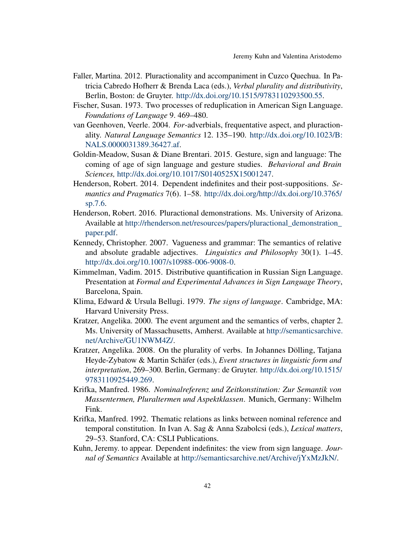- <span id="page-41-4"></span>Faller, Martina. 2012. Pluractionality and accompaniment in Cuzco Quechua. In Patricia Cabredo Hofherr & Brenda Laca (eds.), *Verbal plurality and distributivity*, Berlin, Boston: de Gruyter. [http://dx.doi.org/10.1515/9783110293500.55.](http://dx.doi.org/10.1515/9783110293500.55)
- <span id="page-41-0"></span>Fischer, Susan. 1973. Two processes of reduplication in American Sign Language. *Foundations of Language* 9. 469–480.
- <span id="page-41-3"></span>van Geenhoven, Veerle. 2004. *For*-adverbials, frequentative aspect, and pluractionality. *Natural Language Semantics* 12. 135–190. [http://dx.doi.org/10.1023/B:](http://dx.doi.org/10.1023/B:NALS.0000031389.36427.af) [NALS.0000031389.36427.af.](http://dx.doi.org/10.1023/B:NALS.0000031389.36427.af)
- <span id="page-41-11"></span>Goldin-Meadow, Susan & Diane Brentari. 2015. Gesture, sign and language: The coming of age of sign language and gesture studies. *Behavioral and Brain Sciences,* [http://dx.doi.org/10.1017/S0140525X15001247.](http://dx.doi.org/10.1017/S0140525X15001247)
- <span id="page-41-2"></span>Henderson, Robert. 2014. Dependent indefinites and their post-suppositions. *Semantics and Pragmatics* 7(6). 1–58. [http://dx.doi.org/http://dx.doi.org/10.3765/](http://dx.doi.org/http://dx.doi.org/10.3765/sp.7.6) [sp.7.6.](http://dx.doi.org/http://dx.doi.org/10.3765/sp.7.6)
- <span id="page-41-13"></span>Henderson, Robert. 2016. Pluractional demonstrations. Ms. University of Arizona. Available at [http://rhenderson.net/resources/papers/pluractional\\_demonstration\\_](http://http://rhenderson.net/resources/papers/pluractional_demonstration_paper.pdf) [paper.pdf.](http://http://rhenderson.net/resources/papers/pluractional_demonstration_paper.pdf)
- <span id="page-41-12"></span>Kennedy, Christopher. 2007. Vagueness and grammar: The semantics of relative and absolute gradable adjectives. *Linguistics and Philosophy* 30(1). 1–45. [http://dx.doi.org/10.1007/s10988-006-9008-0.](http://dx.doi.org/10.1007/s10988-006-9008-0)
- <span id="page-41-10"></span>Kimmelman, Vadim. 2015. Distributive quantification in Russian Sign Language. Presentation at *Formal and Experimental Advances in Sign Language Theory*, Barcelona, Spain.
- <span id="page-41-1"></span>Klima, Edward & Ursula Bellugi. 1979. *The signs of language*. Cambridge, MA: Harvard University Press.
- <span id="page-41-9"></span>Kratzer, Angelika. 2000. The event argument and the semantics of verbs, chapter 2. Ms. University of Massachusetts, Amherst. Available at [http://semanticsarchive.](http://http://semanticsarchive.net/Archive/GU1NWM4Z/) [net/Archive/GU1NWM4Z/.](http://http://semanticsarchive.net/Archive/GU1NWM4Z/)
- <span id="page-41-7"></span>Kratzer, Angelika. 2008. On the plurality of verbs. In Johannes Dölling, Tatjana Heyde-Zybatow & Martin Schäfer (eds.), *Event structures in linguistic form and interpretation*, 269–300. Berlin, Germany: de Gruyter. [http://dx.doi.org/10.1515/](http://dx.doi.org/10.1515/9783110925449.269) [9783110925449.269.](http://dx.doi.org/10.1515/9783110925449.269)
- <span id="page-41-8"></span>Krifka, Manfred. 1986. *Nominalreferenz und Zeitkonstitution: Zur Semantik von Massentermen, Pluraltermen und Aspektklassen*. Munich, Germany: Wilhelm Fink.
- <span id="page-41-6"></span>Krifka, Manfred. 1992. Thematic relations as links between nominal reference and temporal constitution. In Ivan A. Sag & Anna Szabolcsi (eds.), *Lexical matters*, 29–53. Stanford, CA: CSLI Publications.
- <span id="page-41-5"></span>Kuhn, Jeremy. to appear. Dependent indefinites: the view from sign language. *Journal of Semantics* Available at [http://semanticsarchive.net/Archive/jYxMzJkN/.](http://http://semanticsarchive.net/Archive/jYxMzJkN/)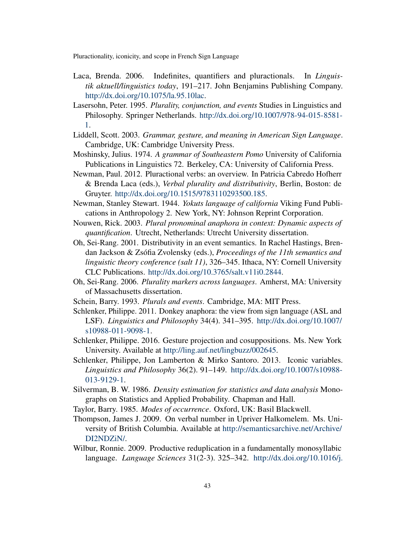- <span id="page-42-6"></span>Laca, Brenda. 2006. Indefinites, quantifiers and pluractionals. In *Linguistik aktuell/linguistics today*, 191–217. John Benjamins Publishing Company. [http://dx.doi.org/10.1075/la.95.10lac.](http://dx.doi.org/10.1075/la.95.10lac)
- <span id="page-42-7"></span>Lasersohn, Peter. 1995. *Plurality, conjunction, and events* Studies in Linguistics and Philosophy. Springer Netherlands. [http://dx.doi.org/10.1007/978-94-015-8581-](http://dx.doi.org/10.1007/978-94-015-8581-1) [1.](http://dx.doi.org/10.1007/978-94-015-8581-1)
- <span id="page-42-13"></span>Liddell, Scott. 2003. *Grammar, gesture, and meaning in American Sign Language*. Cambridge, UK: Cambridge University Press.
- <span id="page-42-3"></span>Moshinsky, Julius. 1974. *A grammar of Southeastern Pomo* University of California Publications in Linguistics 72. Berkeley, CA: University of California Press.
- <span id="page-42-2"></span>Newman, Paul. 2012. Pluractional verbs: an overview. In Patricia Cabredo Hofherr & Brenda Laca (eds.), *Verbal plurality and distributivity*, Berlin, Boston: de Gruyter. [http://dx.doi.org/10.1515/9783110293500.185.](http://dx.doi.org/10.1515/9783110293500.185)
- <span id="page-42-4"></span>Newman, Stanley Stewart. 1944. *Yokuts language of california* Viking Fund Publications in Anthropology 2. New York, NY: Johnson Reprint Corporation.
- <span id="page-42-10"></span>Nouwen, Rick. 2003. *Plural pronominal anaphora in context: Dynamic aspects of quantification*. Utrecht, Netherlands: Utrecht University dissertation.
- <span id="page-42-11"></span>Oh, Sei-Rang. 2001. Distributivity in an event semantics. In Rachel Hastings, Brendan Jackson & Zsófia Zvolensky (eds.), *Proceedings of the 11th semantics and linguistic theory conference (salt 11)*, 326–345. Ithaca, NY: Cornell University CLC Publications. [http://dx.doi.org/10.3765/salt.v11i0.2844.](http://dx.doi.org/10.3765/salt.v11i0.2844)
- <span id="page-42-12"></span>Oh, Sei-Rang. 2006. *Plurality markers across languages*. Amherst, MA: University of Massachusetts dissertation.
- <span id="page-42-9"></span><span id="page-42-1"></span>Schein, Barry. 1993. *Plurals and events*. Cambridge, MA: MIT Press.
- Schlenker, Philippe. 2011. Donkey anaphora: the view from sign language (ASL and LSF). *Linguistics and Philosophy* 34(4). 341–395. [http://dx.doi.org/10.1007/](http://dx.doi.org/10.1007/s10988-011-9098-1) [s10988-011-9098-1.](http://dx.doi.org/10.1007/s10988-011-9098-1)
- <span id="page-42-14"></span>Schlenker, Philippe. 2016. Gesture projection and cosuppositions. Ms. New York University. Available at [http://ling.auf.net/lingbuzz/002645.](http://http://ling.auf.net/lingbuzz/002645)
- <span id="page-42-15"></span>Schlenker, Philippe, Jon Lamberton & Mirko Santoro. 2013. Iconic variables. *Linguistics and Philosophy* 36(2). 91–149. [http://dx.doi.org/10.1007/s10988-](http://dx.doi.org/10.1007/s10988-013-9129-1) [013-9129-1.](http://dx.doi.org/10.1007/s10988-013-9129-1)
- <span id="page-42-16"></span>Silverman, B. W. 1986. *Density estimation for statistics and data analysis* Monographs on Statistics and Applied Probability. Chapman and Hall.
- <span id="page-42-8"></span><span id="page-42-5"></span>Taylor, Barry. 1985. *Modes of occurrence*. Oxford, UK: Basil Blackwell.
- Thompson, James J. 2009. On verbal number in Upriver Halkomelem. Ms. University of British Columbia. Available at [http://semanticsarchive.net/Archive/](http://http://semanticsarchive.net/Archive/DI2NDZiN/) [DI2NDZiN/.](http://http://semanticsarchive.net/Archive/DI2NDZiN/)
- <span id="page-42-0"></span>Wilbur, Ronnie. 2009. Productive reduplication in a fundamentally monosyllabic language. *Language Sciences* 31(2-3). 325–342. [http://dx.doi.org/10.1016/j.](http://dx.doi.org/10.1016/j.langsci.2008.12.017)